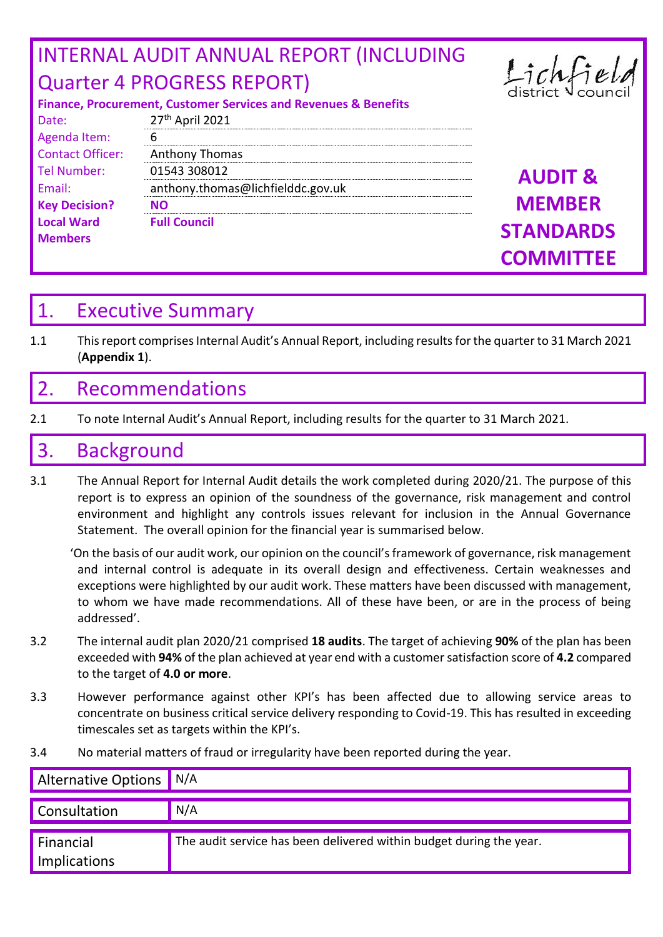# INTERNAL AUDIT ANNUAL REPORT (INCLUDING Quarter 4 PROGRESS REPORT)



#### **Finance, Procurement, Customer Services and Revenues & Benefits**

| Date:                   | 27 <sup>th</sup> April 2021       |                    |
|-------------------------|-----------------------------------|--------------------|
| Agenda Item:            | 6                                 |                    |
| <b>Contact Officer:</b> | Anthony Thomas                    |                    |
| Tel Number:             | 01543 308012                      | <b>AUDIT &amp;</b> |
| Email:                  | anthony.thomas@lichfielddc.gov.uk |                    |
| <b>Key Decision?</b>    | <b>NO</b>                         | <b>MEMBER</b>      |
| <b>Local Ward</b>       | <b>Full Council</b>               | <b>STANDARDS</b>   |
| <b>Members</b>          |                                   |                    |
|                         |                                   | <b>COMMITTEE</b>   |

# 1. Executive Summary

1.1 This report comprises Internal Audit's Annual Report, including resultsfor the quarter to 31 March 2021 (**Appendix 1**).

# 2. Recommendations

2.1 To note Internal Audit's Annual Report, including results for the quarter to 31 March 2021.

# 3. Background

3.1 The Annual Report for Internal Audit details the work completed during 2020/21. The purpose of this report is to express an opinion of the soundness of the governance, risk management and control environment and highlight any controls issues relevant for inclusion in the Annual Governance Statement. The overall opinion for the financial year is summarised below.

'On the basis of our audit work, our opinion on the council's framework of governance, risk management and internal control is adequate in its overall design and effectiveness. Certain weaknesses and exceptions were highlighted by our audit work. These matters have been discussed with management, to whom we have made recommendations. All of these have been, or are in the process of being addressed'.

- 3.2 The internal audit plan 2020/21 comprised **18 audits**. The target of achieving **90%** of the plan has been exceeded with **94%** of the plan achieved at year end with a customer satisfaction score of **4.2** compared to the target of **4.0 or more**.
- 3.3 However performance against other KPI's has been affected due to allowing service areas to concentrate on business critical service delivery responding to Covid-19. This has resulted in exceeding timescales set as targets within the KPI's.
- 3.4 No material matters of fraud or irregularity have been reported during the year.

| Alternative Options N/A   |                                                                     |
|---------------------------|---------------------------------------------------------------------|
| <b>Consultation</b>       | N/A                                                                 |
| Financial<br>Implications | The audit service has been delivered within budget during the year. |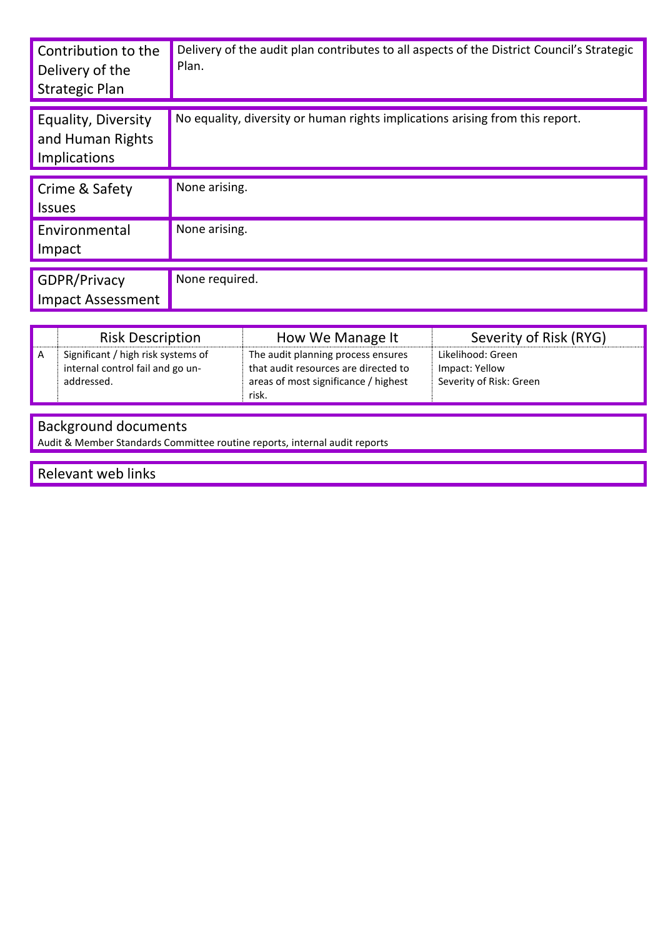| Contribution to the<br>Delivery of the<br><b>Strategic Plan</b> | Delivery of the audit plan contributes to all aspects of the District Council's Strategic<br>Plan. |
|-----------------------------------------------------------------|----------------------------------------------------------------------------------------------------|
| Equality, Diversity<br>and Human Rights<br>Implications         | No equality, diversity or human rights implications arising from this report.                      |
| Crime & Safety<br><b>Issues</b>                                 | None arising.                                                                                      |
| Environmental<br>Impact                                         | None arising.                                                                                      |
| GDPR/Privacy<br><b>Impact Assessment</b>                        | None required.                                                                                     |

|   | <b>Risk Description</b>                                                              | How We Manage It                                                                                                            | Severity of Risk (RYG)                                         |
|---|--------------------------------------------------------------------------------------|-----------------------------------------------------------------------------------------------------------------------------|----------------------------------------------------------------|
| A | Significant / high risk systems of<br>internal control fail and go un-<br>addressed. | The audit planning process ensures<br>that audit resources are directed to<br>areas of most significance / highest<br>risk. | Likelihood: Green<br>Impact: Yellow<br>Severity of Risk: Green |

### Background documents

Audit & Member Standards Committee routine reports, internal audit reports

Relevant web links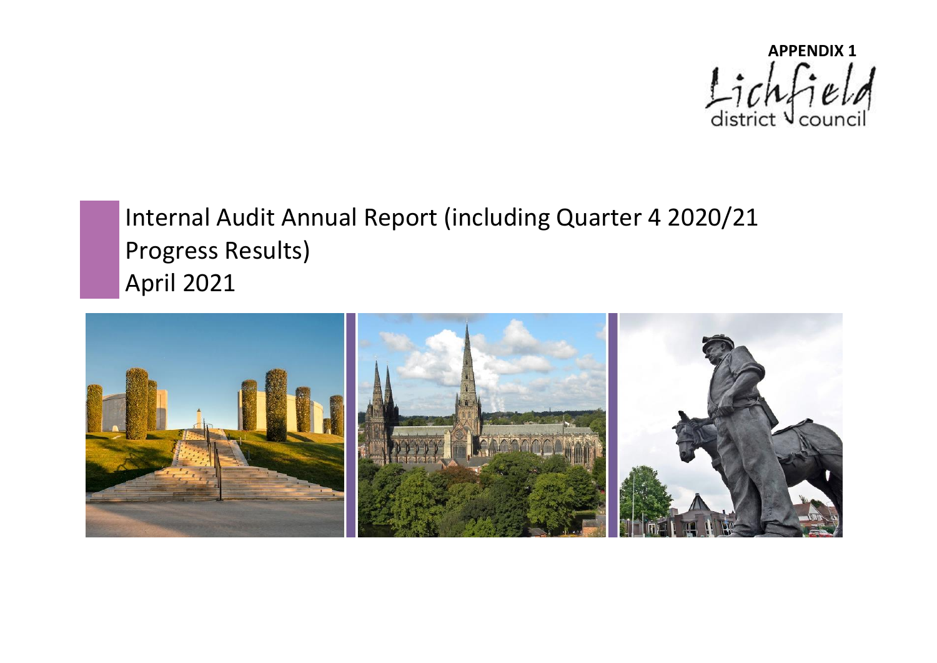

# Internal Audit Annual Report (including Quarter 4 2020/21 Progress Results) April 2021

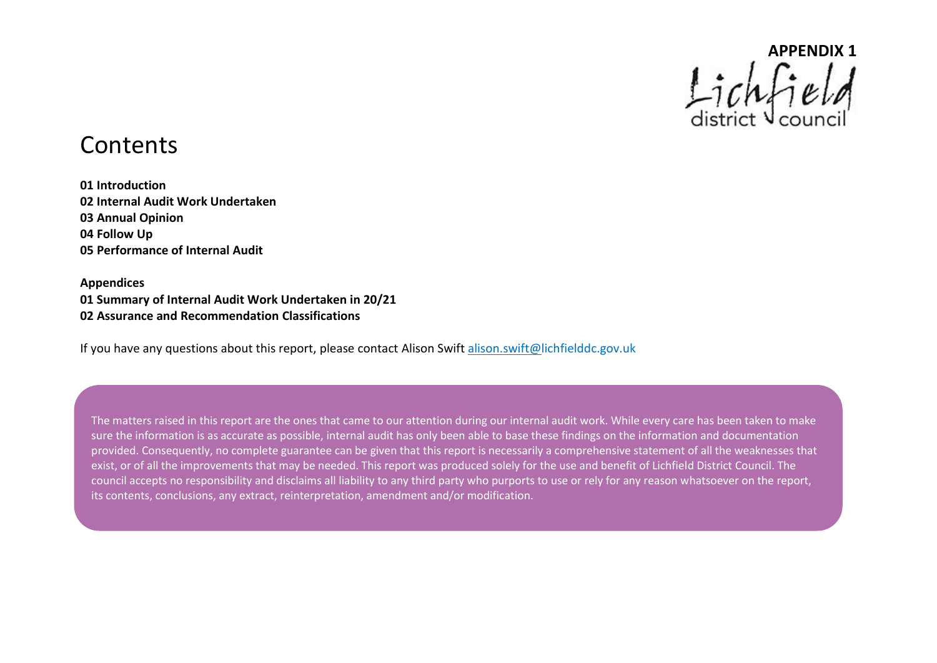

# **Contents**

**01 Introduction 02 Internal Audit Work Undertaken 03 Annual Opinion 04 Follow Up 05 Performance of Internal Audit** 

**Appendices 01 Summary of Internal Audit Work Undertaken in 20/21 02 Assurance and Recommendation Classifications** 

If you have any questions about this report, please contact Alison Swift alison.swift@lichfielddc.gov.uk

The matters raised in this report are the ones that came to our attention during our internal audit work. While every care has been taken to make sure the information is as accurate as possible, internal audit has only been able to base these findings on the information and documentation provided. Consequently, no complete guarantee can be given that this report is necessarily a comprehensive statement of all the weaknesses that exist, or of all the improvements that may be needed. This report was produced solely for the use and benefit of Lichfield District Council. The council accepts no responsibility and disclaims all liability to any third party who purports to use or rely for any reason whatsoever on the report, its contents, conclusions, any extract, reinterpretation, amendment and/or modification.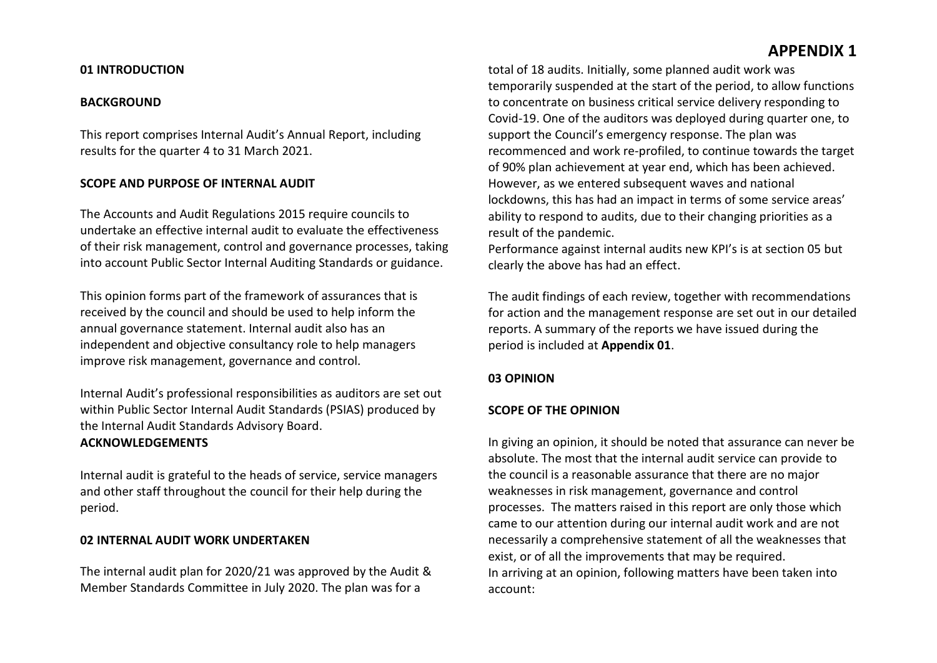#### **01 INTRODUCTION**

#### **BACKGROUND**

This report comprises Internal Audit's Annual Report, including results for the quarter 4 to 31 March 2021.

#### **SCOPE AND PURPOSE OF INTERNAL AUDIT**

The Accounts and Audit Regulations 2015 require councils to undertake an effective internal audit to evaluate the effectiveness of their risk management, control and governance processes, taking into account Public Sector Internal Auditing Standards or guidance.

This opinion forms part of the framework of assurances that is received by the council and should be used to help inform the annual governance statement. Internal audit also has an independent and objective consultancy role to help managers improve risk management, governance and control.

Internal Audit's professional responsibilities as auditors are set out within Public Sector Internal Audit Standards (PSIAS) produced by the Internal Audit Standards Advisory Board. **ACKNOWLEDGEMENTS**

Internal audit is grateful to the heads of service, service managers and other staff throughout the council for their help during the period.

#### **02 INTERNAL AUDIT WORK UNDERTAKEN**

The internal audit plan for 2020/21 was approved by the Audit & Member Standards Committee in July 2020. The plan was for a

total of 18 audits. Initially, some planned audit work was temporarily suspended at the start of the period, to allow functions to concentrate on business critical service delivery responding to Covid-19. One of the auditors was deployed during quarter one, to support the Council's emergency response. The plan was recommenced and work re-profiled, to continue towards the target of 90% plan achievement at year end, which has been achieved. However, as we entered subsequent waves and national lockdowns, this has had an impact in terms of some service areas' ability to respond to audits, due to their changing priorities as a result of the pandemic.

Performance against internal audits new KPI's is at section 05 but clearly the above has had an effect.

The audit findings of each review, together with recommendations for action and the management response are set out in our detailed reports. A summary of the reports we have issued during the period is included at **Appendix 01**.

#### **03 OPINION**

#### **SCOPE OF THE OPINION**

In giving an opinion, it should be noted that assurance can never be absolute. The most that the internal audit service can provide to the council is a reasonable assurance that there are no major weaknesses in risk management, governance and control processes. The matters raised in this report are only those which came to our attention during our internal audit work and are not necessarily a comprehensive statement of all the weaknesses that exist, or of all the improvements that may be required. In arriving at an opinion, following matters have been taken into account: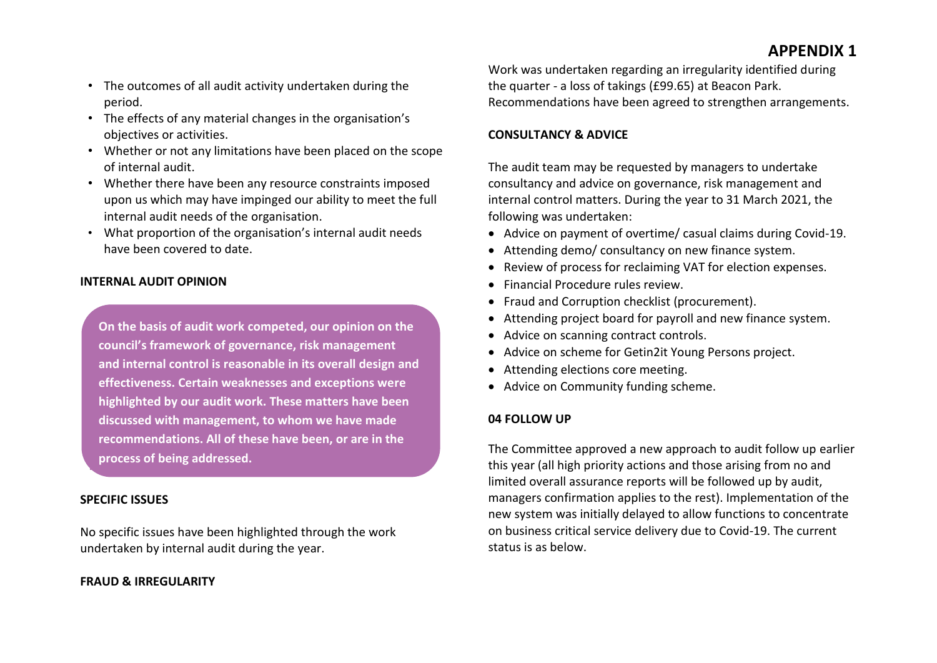- The outcomes of all audit activity undertaken during the period.
- The effects of any material changes in the organisation's objectives or activities.
- Whether or not any limitations have been placed on the scope of internal audit.
- Whether there have been any resource constraints imposed upon us which may have impinged our ability to meet the full internal audit needs of the organisation.
- What proportion of the organisation's internal audit needs have been covered to date.

#### **INTERNAL AUDIT OPINION**

**On the basis of audit work competed, our opinion on the council's framework of governance, risk management and internal control is reasonable in its overall design and effectiveness. Certain weaknesses and exceptions were highlighted by our audit work. These matters have been discussed with management, to whom we have made recommendations. All of these have been, or are in the process of being addressed.**

#### **SPECIFIC ISSUES**

No specific issues have been highlighted through the work undertaken by internal audit during the year.

#### **FRAUD & IRREGULARITY**

Work was undertaken regarding an irregularity identified during the quarter - a loss of takings (£99.65) at Beacon Park. Recommendations have been agreed to strengthen arrangements.

#### **CONSULTANCY & ADVICE**

The audit team may be requested by managers to undertake consultancy and advice on governance, risk management and internal control matters. During the year to 31 March 2021, the following was undertaken:

- Advice on payment of overtime/ casual claims during Covid-19.
- Attending demo/ consultancy on new finance system.
- Review of process for reclaiming VAT for election expenses.
- Financial Procedure rules review.
- Fraud and Corruption checklist (procurement).
- Attending project board for payroll and new finance system.
- Advice on scanning contract controls.
- Advice on scheme for Getin2it Young Persons project.
- Attending elections core meeting.
- Advice on Community funding scheme.

#### **04 FOLLOW UP**

The Committee approved a new approach to audit follow up earlier this year (all high priority actions and those arising from no and limited overall assurance reports will be followed up by audit, managers confirmation applies to the rest). Implementation of the new system was initially delayed to allow functions to concentrate on business critical service delivery due to Covid-19. The current status is as below.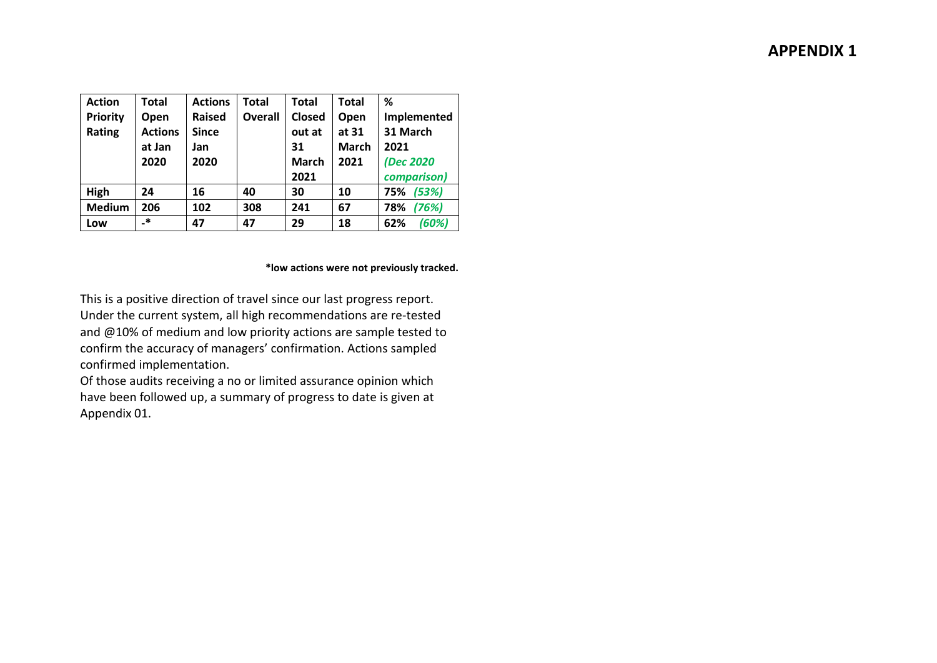| <b>Action</b>   | Total          | <b>Actions</b> | Total          | <b>Total</b> | <b>Total</b> | ℅            |
|-----------------|----------------|----------------|----------------|--------------|--------------|--------------|
| <b>Priority</b> | Open           | <b>Raised</b>  | <b>Overall</b> | Closed       | Open         | Implemented  |
| Rating          | <b>Actions</b> | <b>Since</b>   |                | out at       | at 31        | 31 March     |
|                 | at Jan         | Jan            |                | 31           | <b>March</b> | 2021         |
|                 | 2020           | 2020           |                | <b>March</b> | 2021         | (Dec 2020    |
|                 |                |                |                | 2021         |              | comparison)  |
| High            | 24             | 16             | 40             | 30           | 10           | (53%)<br>75% |
| <b>Medium</b>   | 206            | 102            | 308            | 241          | 67           | (76%)<br>78% |
| Low             | $\cdot$        | 47             | 47             | 29           | 18           | (60%)<br>62% |

#### **\*low actions were not previously tracked.**

This is a positive direction of travel since our last progress report. Under the current system, all high recommendations are re-tested and @10% of medium and low priority actions are sample tested to confirm the accuracy of managers' confirmation. Actions sampled confirmed implementation.

Of those audits receiving a no or limited assurance opinion which have been followed up, a summary of progress to date is given at Appendix 01.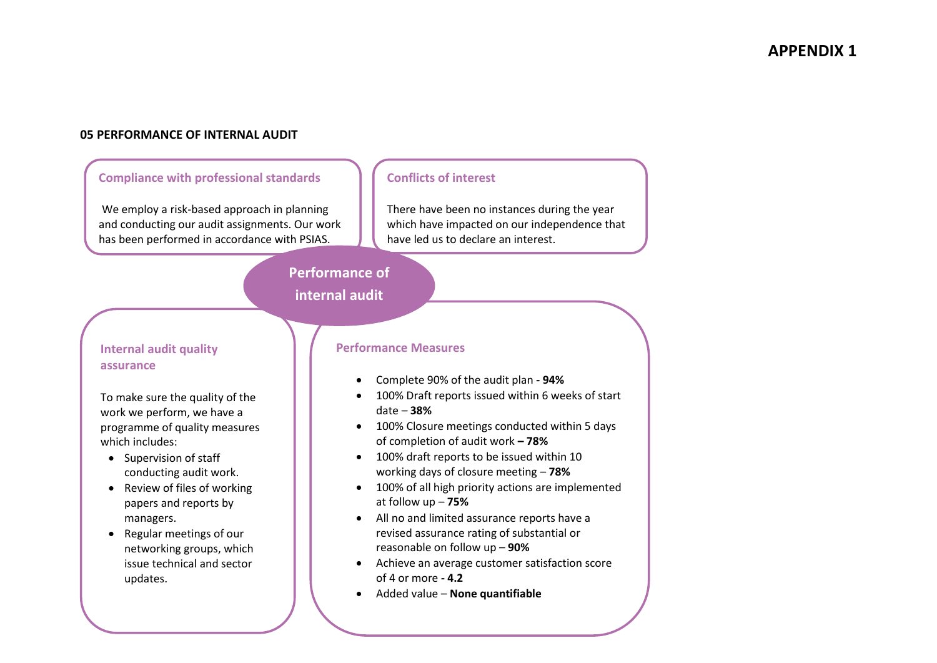#### **05 PERFORMANCE OF INTERNAL AUDIT**

#### **Compliance with professional standards**

We employ a risk-based approach in planning and conducting our audit assignments. Our work has been performed in accordance with PSIAS.

#### **Conflicts of interest**

There have been no instances during the year which have impacted on our independence that have led us to declare an interest.

#### **Performance of internal audit**

Ī

#### **Internal audit quality assurance**

To make sure the quality of the work we perform, we have a programme of quality measures which includes:

- Supervision of staff conducting audit work.
- Review of files of working papers and reports by managers.
- Regular meetings of our networking groups, which issue technical and sector updates.

#### **Performance Measures**

- Complete 90% of the audit plan **- 94%**
- 100% Draft reports issued within 6 weeks of start date – **38%**
- 100% Closure meetings conducted within 5 days of completion of audit work **– 78%**
- 100% draft reports to be issued within 10 working days of closure meeting – **78%**
- 100% of all high priority actions are implemented at follow up – **75%**
- All no and limited assurance reports have a revised assurance rating of substantial or reasonable on follow up – **90%**
- Achieve an average customer satisfaction score of 4 or more **- 4.2**
- Added value **None quantifiable**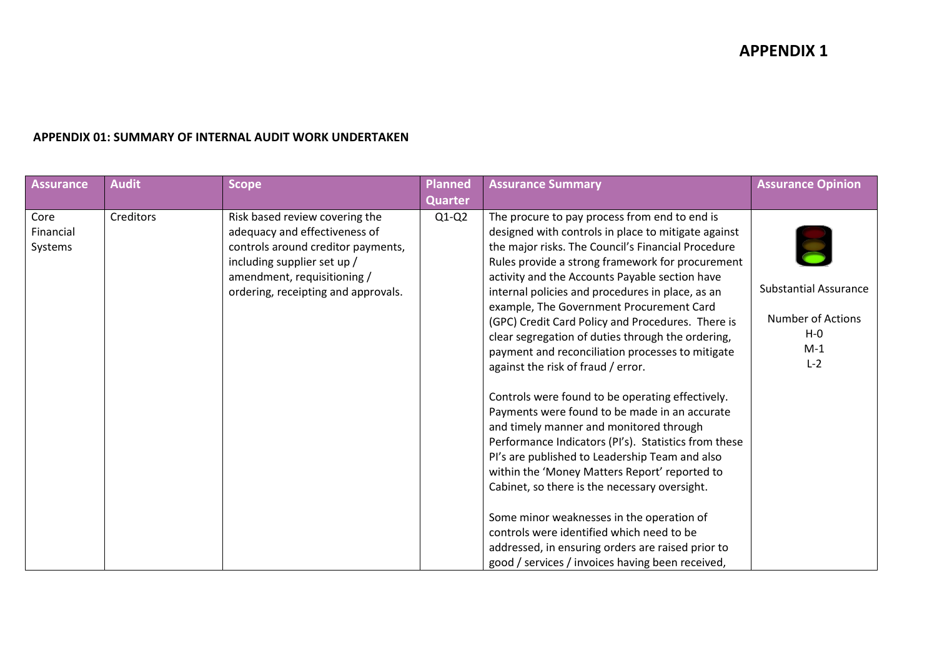#### **APPENDIX 01: SUMMARY OF INTERNAL AUDIT WORK UNDERTAKEN**

| <b>Assurance</b>             | <b>Audit</b> | <b>Scope</b>                                                                                                                                                                                               | <b>Planned</b> | <b>Assurance Summary</b>                                                                                                                                                                                                                                                                                                                                                                                                                                                                                                                                                                                                                                                                                                                                                                                                                                                                                                                                                                                                                                                                                                            | <b>Assurance Opinion</b>                                                              |
|------------------------------|--------------|------------------------------------------------------------------------------------------------------------------------------------------------------------------------------------------------------------|----------------|-------------------------------------------------------------------------------------------------------------------------------------------------------------------------------------------------------------------------------------------------------------------------------------------------------------------------------------------------------------------------------------------------------------------------------------------------------------------------------------------------------------------------------------------------------------------------------------------------------------------------------------------------------------------------------------------------------------------------------------------------------------------------------------------------------------------------------------------------------------------------------------------------------------------------------------------------------------------------------------------------------------------------------------------------------------------------------------------------------------------------------------|---------------------------------------------------------------------------------------|
|                              |              |                                                                                                                                                                                                            | <b>Quarter</b> |                                                                                                                                                                                                                                                                                                                                                                                                                                                                                                                                                                                                                                                                                                                                                                                                                                                                                                                                                                                                                                                                                                                                     |                                                                                       |
| Core<br>Financial<br>Systems | Creditors    | Risk based review covering the<br>adequacy and effectiveness of<br>controls around creditor payments,<br>including supplier set up /<br>amendment, requisitioning /<br>ordering, receipting and approvals. | $Q1-Q2$        | The procure to pay process from end to end is<br>designed with controls in place to mitigate against<br>the major risks. The Council's Financial Procedure<br>Rules provide a strong framework for procurement<br>activity and the Accounts Payable section have<br>internal policies and procedures in place, as an<br>example, The Government Procurement Card<br>(GPC) Credit Card Policy and Procedures. There is<br>clear segregation of duties through the ordering,<br>payment and reconciliation processes to mitigate<br>against the risk of fraud / error.<br>Controls were found to be operating effectively.<br>Payments were found to be made in an accurate<br>and timely manner and monitored through<br>Performance Indicators (PI's). Statistics from these<br>Pl's are published to Leadership Team and also<br>within the 'Money Matters Report' reported to<br>Cabinet, so there is the necessary oversight.<br>Some minor weaknesses in the operation of<br>controls were identified which need to be<br>addressed, in ensuring orders are raised prior to<br>good / services / invoices having been received, | <b>Substantial Assurance</b><br><b>Number of Actions</b><br>$H - O$<br>$M-1$<br>$L-2$ |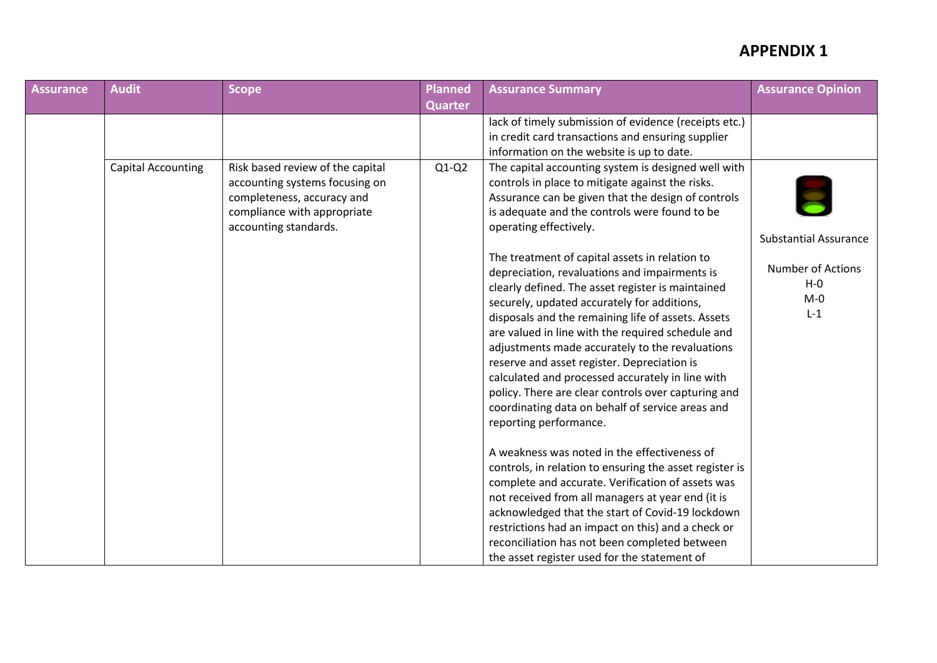| <b>Assurance</b> | <b>Audit</b>              | <b>Scope</b>                                                                                                                                             | <b>Planned</b> | <b>Assurance Summary</b>                                                                                                                                                                                                                                                                                                                                                                                                                                                                                                                                                                                  | <b>Assurance Opinion</b>                                |
|------------------|---------------------------|----------------------------------------------------------------------------------------------------------------------------------------------------------|----------------|-----------------------------------------------------------------------------------------------------------------------------------------------------------------------------------------------------------------------------------------------------------------------------------------------------------------------------------------------------------------------------------------------------------------------------------------------------------------------------------------------------------------------------------------------------------------------------------------------------------|---------------------------------------------------------|
|                  |                           |                                                                                                                                                          | <b>Quarter</b> |                                                                                                                                                                                                                                                                                                                                                                                                                                                                                                                                                                                                           |                                                         |
|                  |                           |                                                                                                                                                          |                | lack of timely submission of evidence (receipts etc.)<br>in credit card transactions and ensuring supplier<br>information on the website is up to date.                                                                                                                                                                                                                                                                                                                                                                                                                                                   |                                                         |
|                  | <b>Capital Accounting</b> | Risk based review of the capital<br>accounting systems focusing on<br>completeness, accuracy and<br>compliance with appropriate<br>accounting standards. | $Q1-Q2$        | The capital accounting system is designed well with<br>controls in place to mitigate against the risks.<br>Assurance can be given that the design of controls<br>is adequate and the controls were found to be<br>operating effectively.                                                                                                                                                                                                                                                                                                                                                                  | <b>Substantial Assurance</b>                            |
|                  |                           |                                                                                                                                                          |                | The treatment of capital assets in relation to<br>depreciation, revaluations and impairments is<br>clearly defined. The asset register is maintained<br>securely, updated accurately for additions,<br>disposals and the remaining life of assets. Assets<br>are valued in line with the required schedule and<br>adjustments made accurately to the revaluations<br>reserve and asset register. Depreciation is<br>calculated and processed accurately in line with<br>policy. There are clear controls over capturing and<br>coordinating data on behalf of service areas and<br>reporting performance. | <b>Number of Actions</b><br>$H - O$<br>$M - 0$<br>$L-1$ |
|                  |                           |                                                                                                                                                          |                | A weakness was noted in the effectiveness of<br>controls, in relation to ensuring the asset register is<br>complete and accurate. Verification of assets was<br>not received from all managers at year end (it is<br>acknowledged that the start of Covid-19 lockdown<br>restrictions had an impact on this) and a check or<br>reconciliation has not been completed between<br>the asset register used for the statement of                                                                                                                                                                              |                                                         |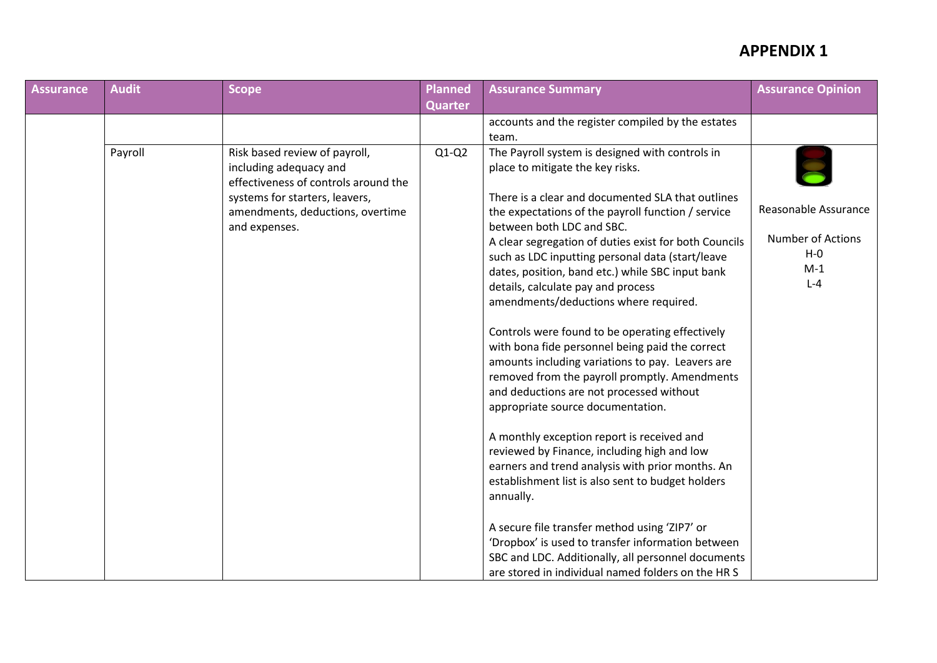| <b>Assurance</b> | <b>Audit</b> | Scope                                                                                                                                                                                  | <b>Planned</b> | <b>Assurance Summary</b>                                                                                                                                                                                                                                                                                                                                                                                                                                                                                                                                                                                                                                                                                                                                                                                                                                                                                                 | <b>Assurance Opinion</b>                                                        |
|------------------|--------------|----------------------------------------------------------------------------------------------------------------------------------------------------------------------------------------|----------------|--------------------------------------------------------------------------------------------------------------------------------------------------------------------------------------------------------------------------------------------------------------------------------------------------------------------------------------------------------------------------------------------------------------------------------------------------------------------------------------------------------------------------------------------------------------------------------------------------------------------------------------------------------------------------------------------------------------------------------------------------------------------------------------------------------------------------------------------------------------------------------------------------------------------------|---------------------------------------------------------------------------------|
|                  |              |                                                                                                                                                                                        | <b>Quarter</b> |                                                                                                                                                                                                                                                                                                                                                                                                                                                                                                                                                                                                                                                                                                                                                                                                                                                                                                                          |                                                                                 |
|                  |              |                                                                                                                                                                                        |                | accounts and the register compiled by the estates<br>team.                                                                                                                                                                                                                                                                                                                                                                                                                                                                                                                                                                                                                                                                                                                                                                                                                                                               |                                                                                 |
|                  | Payroll      | Risk based review of payroll,<br>including adequacy and<br>effectiveness of controls around the<br>systems for starters, leavers,<br>amendments, deductions, overtime<br>and expenses. | $Q1-Q2$        | The Payroll system is designed with controls in<br>place to mitigate the key risks.<br>There is a clear and documented SLA that outlines<br>the expectations of the payroll function / service<br>between both LDC and SBC.<br>A clear segregation of duties exist for both Councils<br>such as LDC inputting personal data (start/leave<br>dates, position, band etc.) while SBC input bank<br>details, calculate pay and process<br>amendments/deductions where required.<br>Controls were found to be operating effectively<br>with bona fide personnel being paid the correct<br>amounts including variations to pay. Leavers are<br>removed from the payroll promptly. Amendments<br>and deductions are not processed without<br>appropriate source documentation.<br>A monthly exception report is received and<br>reviewed by Finance, including high and low<br>earners and trend analysis with prior months. An | Reasonable Assurance<br><b>Number of Actions</b><br>$H - O$<br>$M-1$<br>$L - 4$ |
|                  |              |                                                                                                                                                                                        |                | establishment list is also sent to budget holders<br>annually.                                                                                                                                                                                                                                                                                                                                                                                                                                                                                                                                                                                                                                                                                                                                                                                                                                                           |                                                                                 |
|                  |              |                                                                                                                                                                                        |                | A secure file transfer method using 'ZIP7' or<br>'Dropbox' is used to transfer information between<br>SBC and LDC. Additionally, all personnel documents<br>are stored in individual named folders on the HR S                                                                                                                                                                                                                                                                                                                                                                                                                                                                                                                                                                                                                                                                                                           |                                                                                 |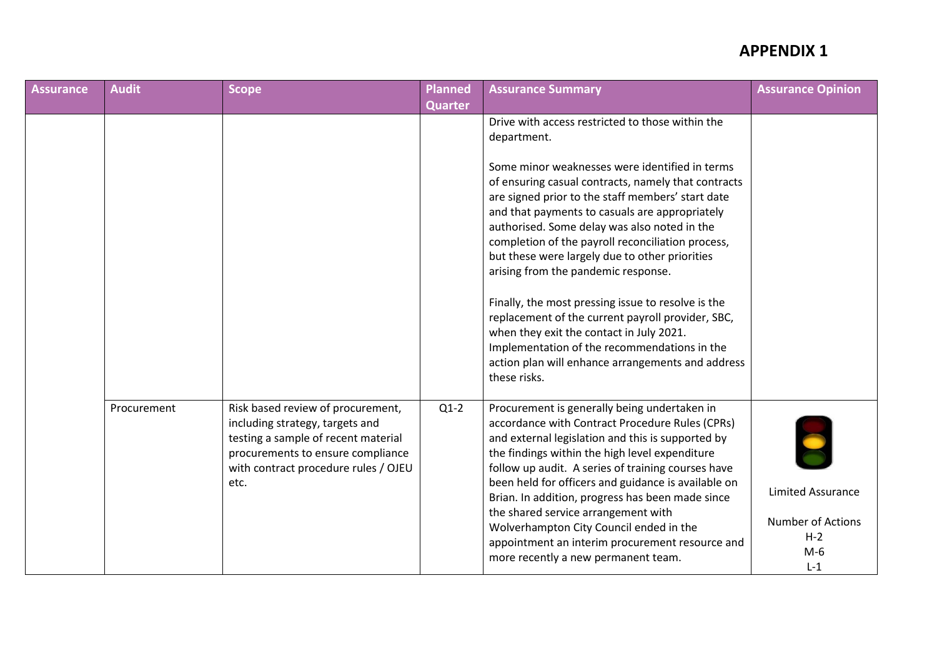| <b>Assurance</b> | <b>Audit</b> | <b>Scope</b>                                                                                                                                                                                     | <b>Planned</b> | <b>Assurance Summary</b>                                                                                                                                                                                                                                                                                                                                                                                                                                                                                                                                                                                                                                                                                                                                  | <b>Assurance Opinion</b>                                                   |
|------------------|--------------|--------------------------------------------------------------------------------------------------------------------------------------------------------------------------------------------------|----------------|-----------------------------------------------------------------------------------------------------------------------------------------------------------------------------------------------------------------------------------------------------------------------------------------------------------------------------------------------------------------------------------------------------------------------------------------------------------------------------------------------------------------------------------------------------------------------------------------------------------------------------------------------------------------------------------------------------------------------------------------------------------|----------------------------------------------------------------------------|
|                  |              |                                                                                                                                                                                                  | <b>Quarter</b> |                                                                                                                                                                                                                                                                                                                                                                                                                                                                                                                                                                                                                                                                                                                                                           |                                                                            |
|                  |              |                                                                                                                                                                                                  |                | Drive with access restricted to those within the<br>department.<br>Some minor weaknesses were identified in terms<br>of ensuring casual contracts, namely that contracts<br>are signed prior to the staff members' start date<br>and that payments to casuals are appropriately<br>authorised. Some delay was also noted in the<br>completion of the payroll reconciliation process,<br>but these were largely due to other priorities<br>arising from the pandemic response.<br>Finally, the most pressing issue to resolve is the<br>replacement of the current payroll provider, SBC,<br>when they exit the contact in July 2021.<br>Implementation of the recommendations in the<br>action plan will enhance arrangements and address<br>these risks. |                                                                            |
|                  | Procurement  | Risk based review of procurement,<br>including strategy, targets and<br>testing a sample of recent material<br>procurements to ensure compliance<br>with contract procedure rules / OJEU<br>etc. | $Q1-2$         | Procurement is generally being undertaken in<br>accordance with Contract Procedure Rules (CPRs)<br>and external legislation and this is supported by<br>the findings within the high level expenditure<br>follow up audit. A series of training courses have<br>been held for officers and guidance is available on<br>Brian. In addition, progress has been made since<br>the shared service arrangement with<br>Wolverhampton City Council ended in the<br>appointment an interim procurement resource and<br>more recently a new permanent team.                                                                                                                                                                                                       | <b>Limited Assurance</b><br>Number of Actions<br>$H - 2$<br>$M-6$<br>$L-1$ |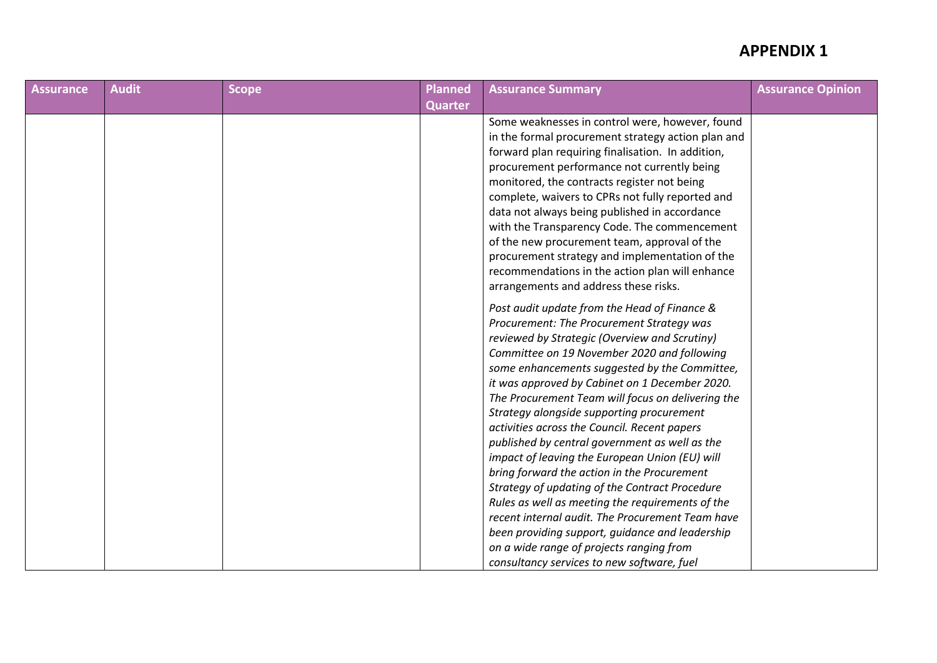| <b>Assurance</b> | <b>Audit</b> | <b>Scope</b> | Planned        | <b>Assurance Summary</b>                           | <b>Assurance Opinion</b> |
|------------------|--------------|--------------|----------------|----------------------------------------------------|--------------------------|
|                  |              |              | <b>Quarter</b> |                                                    |                          |
|                  |              |              |                | Some weaknesses in control were, however, found    |                          |
|                  |              |              |                | in the formal procurement strategy action plan and |                          |
|                  |              |              |                | forward plan requiring finalisation. In addition,  |                          |
|                  |              |              |                | procurement performance not currently being        |                          |
|                  |              |              |                | monitored, the contracts register not being        |                          |
|                  |              |              |                | complete, waivers to CPRs not fully reported and   |                          |
|                  |              |              |                | data not always being published in accordance      |                          |
|                  |              |              |                | with the Transparency Code. The commencement       |                          |
|                  |              |              |                | of the new procurement team, approval of the       |                          |
|                  |              |              |                | procurement strategy and implementation of the     |                          |
|                  |              |              |                | recommendations in the action plan will enhance    |                          |
|                  |              |              |                | arrangements and address these risks.              |                          |
|                  |              |              |                | Post audit update from the Head of Finance &       |                          |
|                  |              |              |                | Procurement: The Procurement Strategy was          |                          |
|                  |              |              |                | reviewed by Strategic (Overview and Scrutiny)      |                          |
|                  |              |              |                | Committee on 19 November 2020 and following        |                          |
|                  |              |              |                | some enhancements suggested by the Committee,      |                          |
|                  |              |              |                | it was approved by Cabinet on 1 December 2020.     |                          |
|                  |              |              |                | The Procurement Team will focus on delivering the  |                          |
|                  |              |              |                | Strategy alongside supporting procurement          |                          |
|                  |              |              |                | activities across the Council. Recent papers       |                          |
|                  |              |              |                | published by central government as well as the     |                          |
|                  |              |              |                | impact of leaving the European Union (EU) will     |                          |
|                  |              |              |                | bring forward the action in the Procurement        |                          |
|                  |              |              |                | Strategy of updating of the Contract Procedure     |                          |
|                  |              |              |                | Rules as well as meeting the requirements of the   |                          |
|                  |              |              |                | recent internal audit. The Procurement Team have   |                          |
|                  |              |              |                | been providing support, guidance and leadership    |                          |
|                  |              |              |                | on a wide range of projects ranging from           |                          |
|                  |              |              |                | consultancy services to new software, fuel         |                          |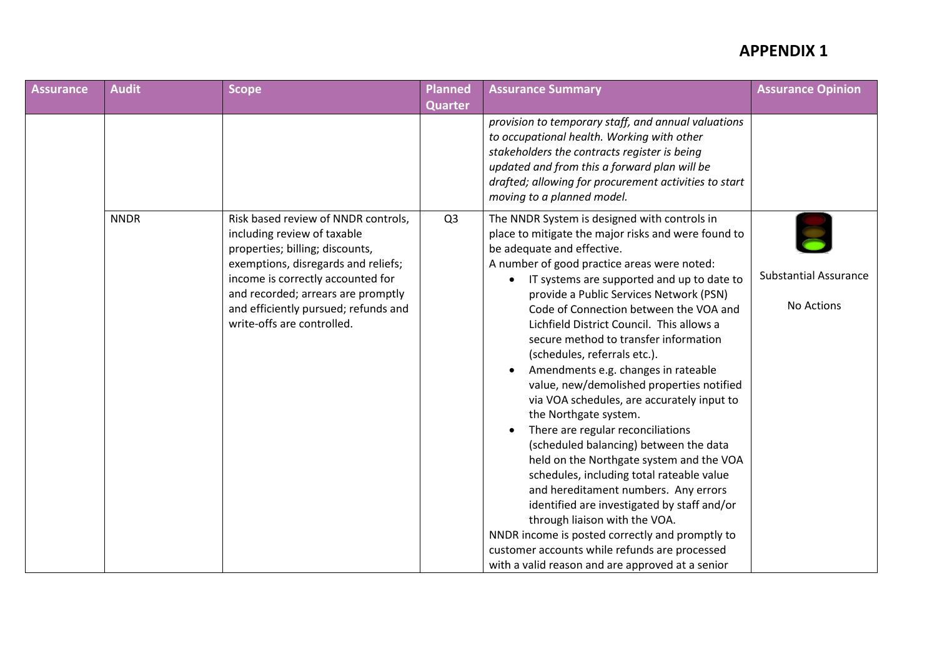| <b>Assurance</b> | <b>Audit</b> | Scope                                                                                                                                                                                                                                                                                         | <b>Planned</b> | <b>Assurance Summary</b>                                                                                                                                                                                                                                                                                                                                                                                                                                                                                                                                                                                                                                                                                                                                                                                                                                                                                                                                                                                                                                     | <b>Assurance Opinion</b>                   |
|------------------|--------------|-----------------------------------------------------------------------------------------------------------------------------------------------------------------------------------------------------------------------------------------------------------------------------------------------|----------------|--------------------------------------------------------------------------------------------------------------------------------------------------------------------------------------------------------------------------------------------------------------------------------------------------------------------------------------------------------------------------------------------------------------------------------------------------------------------------------------------------------------------------------------------------------------------------------------------------------------------------------------------------------------------------------------------------------------------------------------------------------------------------------------------------------------------------------------------------------------------------------------------------------------------------------------------------------------------------------------------------------------------------------------------------------------|--------------------------------------------|
|                  |              |                                                                                                                                                                                                                                                                                               | <b>Quarter</b> |                                                                                                                                                                                                                                                                                                                                                                                                                                                                                                                                                                                                                                                                                                                                                                                                                                                                                                                                                                                                                                                              |                                            |
|                  |              |                                                                                                                                                                                                                                                                                               |                | provision to temporary staff, and annual valuations<br>to occupational health. Working with other<br>stakeholders the contracts register is being<br>updated and from this a forward plan will be<br>drafted; allowing for procurement activities to start<br>moving to a planned model.                                                                                                                                                                                                                                                                                                                                                                                                                                                                                                                                                                                                                                                                                                                                                                     |                                            |
|                  | <b>NNDR</b>  | Risk based review of NNDR controls,<br>including review of taxable<br>properties; billing; discounts,<br>exemptions, disregards and reliefs;<br>income is correctly accounted for<br>and recorded; arrears are promptly<br>and efficiently pursued; refunds and<br>write-offs are controlled. | Q <sub>3</sub> | The NNDR System is designed with controls in<br>place to mitigate the major risks and were found to<br>be adequate and effective.<br>A number of good practice areas were noted:<br>IT systems are supported and up to date to<br>provide a Public Services Network (PSN)<br>Code of Connection between the VOA and<br>Lichfield District Council. This allows a<br>secure method to transfer information<br>(schedules, referrals etc.).<br>Amendments e.g. changes in rateable<br>value, new/demolished properties notified<br>via VOA schedules, are accurately input to<br>the Northgate system.<br>There are regular reconciliations<br>(scheduled balancing) between the data<br>held on the Northgate system and the VOA<br>schedules, including total rateable value<br>and hereditament numbers. Any errors<br>identified are investigated by staff and/or<br>through liaison with the VOA.<br>NNDR income is posted correctly and promptly to<br>customer accounts while refunds are processed<br>with a valid reason and are approved at a senior | <b>Substantial Assurance</b><br>No Actions |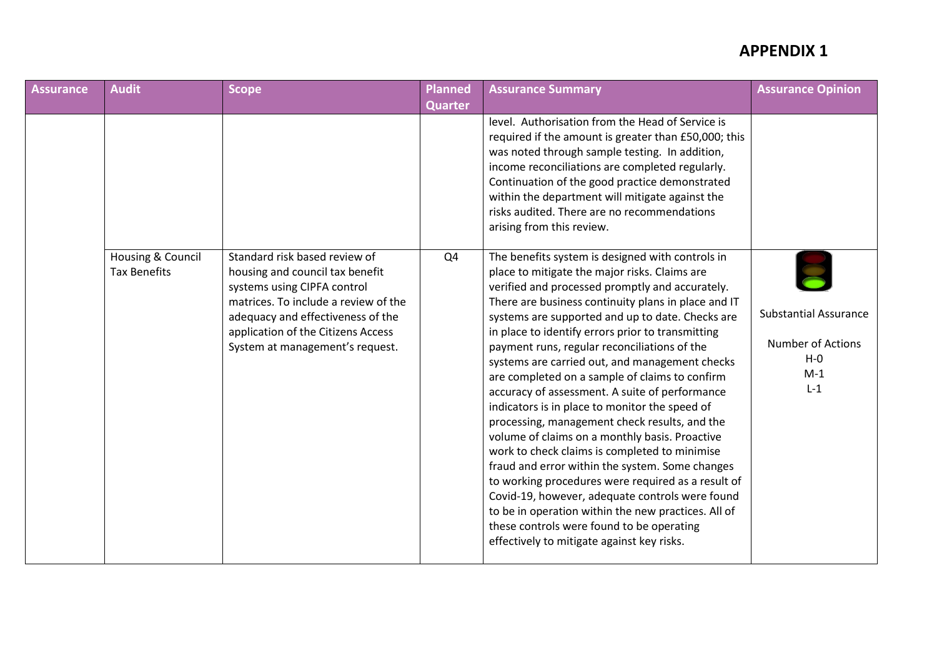| <b>Assurance</b> | <b>Audit</b>                             | <b>Scope</b>                                                                                                                                                                                                                                          | Planned        | <b>Assurance Summary</b>                                                                                                                                                                                                                                                                                                                                                                                                                                                                                                                                                                                                                                                                                                                                                                                                                                                                                                                                                                                                                       | <b>Assurance Opinion</b>                                                              |
|------------------|------------------------------------------|-------------------------------------------------------------------------------------------------------------------------------------------------------------------------------------------------------------------------------------------------------|----------------|------------------------------------------------------------------------------------------------------------------------------------------------------------------------------------------------------------------------------------------------------------------------------------------------------------------------------------------------------------------------------------------------------------------------------------------------------------------------------------------------------------------------------------------------------------------------------------------------------------------------------------------------------------------------------------------------------------------------------------------------------------------------------------------------------------------------------------------------------------------------------------------------------------------------------------------------------------------------------------------------------------------------------------------------|---------------------------------------------------------------------------------------|
|                  |                                          |                                                                                                                                                                                                                                                       | <b>Quarter</b> |                                                                                                                                                                                                                                                                                                                                                                                                                                                                                                                                                                                                                                                                                                                                                                                                                                                                                                                                                                                                                                                |                                                                                       |
|                  |                                          |                                                                                                                                                                                                                                                       |                | level. Authorisation from the Head of Service is<br>required if the amount is greater than £50,000; this<br>was noted through sample testing. In addition,<br>income reconciliations are completed regularly.<br>Continuation of the good practice demonstrated<br>within the department will mitigate against the<br>risks audited. There are no recommendations<br>arising from this review.                                                                                                                                                                                                                                                                                                                                                                                                                                                                                                                                                                                                                                                 |                                                                                       |
|                  | Housing & Council<br><b>Tax Benefits</b> | Standard risk based review of<br>housing and council tax benefit<br>systems using CIPFA control<br>matrices. To include a review of the<br>adequacy and effectiveness of the<br>application of the Citizens Access<br>System at management's request. | Q4             | The benefits system is designed with controls in<br>place to mitigate the major risks. Claims are<br>verified and processed promptly and accurately.<br>There are business continuity plans in place and IT<br>systems are supported and up to date. Checks are<br>in place to identify errors prior to transmitting<br>payment runs, regular reconciliations of the<br>systems are carried out, and management checks<br>are completed on a sample of claims to confirm<br>accuracy of assessment. A suite of performance<br>indicators is in place to monitor the speed of<br>processing, management check results, and the<br>volume of claims on a monthly basis. Proactive<br>work to check claims is completed to minimise<br>fraud and error within the system. Some changes<br>to working procedures were required as a result of<br>Covid-19, however, adequate controls were found<br>to be in operation within the new practices. All of<br>these controls were found to be operating<br>effectively to mitigate against key risks. | <b>Substantial Assurance</b><br><b>Number of Actions</b><br>$H - O$<br>$M-1$<br>$L-1$ |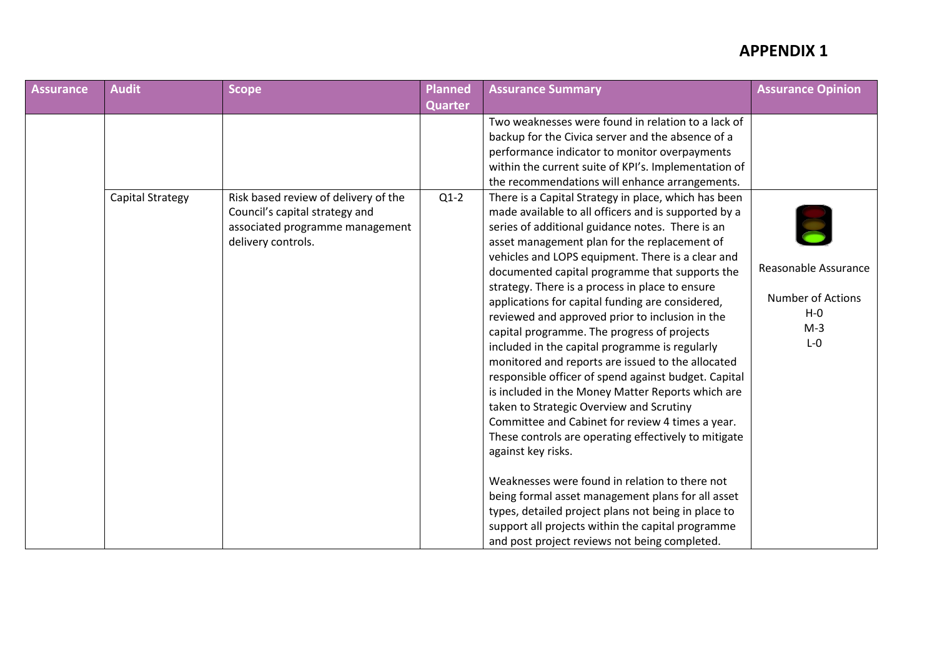| Assurance | <b>Audit</b>            | <b>Scope</b>                                                                                                                    | Planned        | <b>Assurance Summary</b>                                                                                                                                                                                                                                                                                                                                                                                                                                                                                                                                                                                                                                                                                                                                                                                                                                                                                                                                                                                                                                                                                                                                                                               | <b>Assurance Opinion</b>                                                        |
|-----------|-------------------------|---------------------------------------------------------------------------------------------------------------------------------|----------------|--------------------------------------------------------------------------------------------------------------------------------------------------------------------------------------------------------------------------------------------------------------------------------------------------------------------------------------------------------------------------------------------------------------------------------------------------------------------------------------------------------------------------------------------------------------------------------------------------------------------------------------------------------------------------------------------------------------------------------------------------------------------------------------------------------------------------------------------------------------------------------------------------------------------------------------------------------------------------------------------------------------------------------------------------------------------------------------------------------------------------------------------------------------------------------------------------------|---------------------------------------------------------------------------------|
|           |                         |                                                                                                                                 | <b>Quarter</b> |                                                                                                                                                                                                                                                                                                                                                                                                                                                                                                                                                                                                                                                                                                                                                                                                                                                                                                                                                                                                                                                                                                                                                                                                        |                                                                                 |
|           |                         |                                                                                                                                 |                | Two weaknesses were found in relation to a lack of<br>backup for the Civica server and the absence of a<br>performance indicator to monitor overpayments<br>within the current suite of KPI's. Implementation of<br>the recommendations will enhance arrangements.                                                                                                                                                                                                                                                                                                                                                                                                                                                                                                                                                                                                                                                                                                                                                                                                                                                                                                                                     |                                                                                 |
|           | <b>Capital Strategy</b> | Risk based review of delivery of the<br>Council's capital strategy and<br>associated programme management<br>delivery controls. | $Q1-2$         | There is a Capital Strategy in place, which has been<br>made available to all officers and is supported by a<br>series of additional guidance notes. There is an<br>asset management plan for the replacement of<br>vehicles and LOPS equipment. There is a clear and<br>documented capital programme that supports the<br>strategy. There is a process in place to ensure<br>applications for capital funding are considered,<br>reviewed and approved prior to inclusion in the<br>capital programme. The progress of projects<br>included in the capital programme is regularly<br>monitored and reports are issued to the allocated<br>responsible officer of spend against budget. Capital<br>is included in the Money Matter Reports which are<br>taken to Strategic Overview and Scrutiny<br>Committee and Cabinet for review 4 times a year.<br>These controls are operating effectively to mitigate<br>against key risks.<br>Weaknesses were found in relation to there not<br>being formal asset management plans for all asset<br>types, detailed project plans not being in place to<br>support all projects within the capital programme<br>and post project reviews not being completed. | Reasonable Assurance<br><b>Number of Actions</b><br>$H - O$<br>$M-3$<br>$L - 0$ |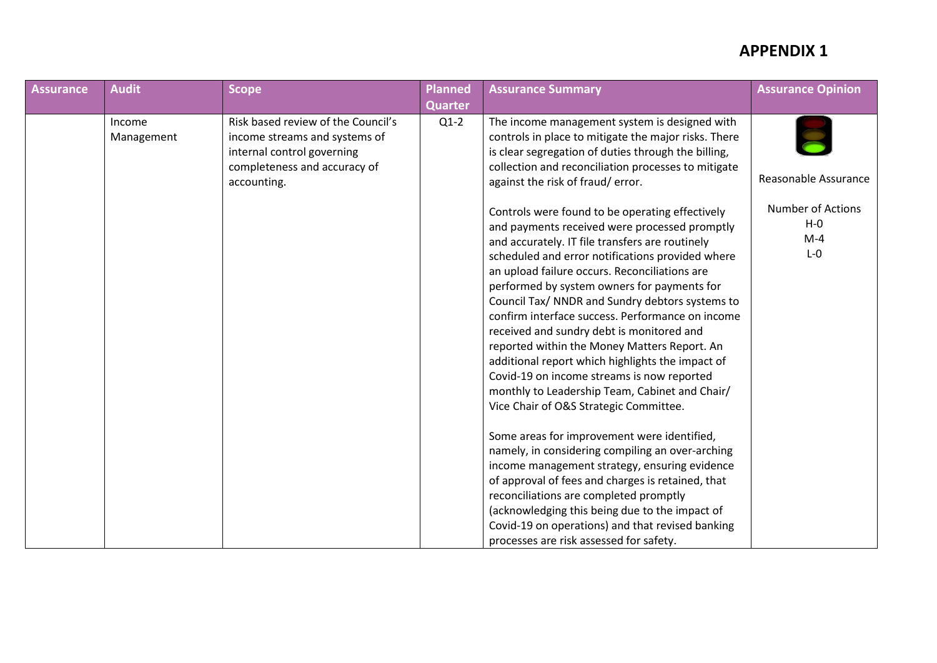| <b>Assurance</b> | <b>Audit</b>         | <b>Scope</b>                                                                                                                                     | <b>Planned</b> | <b>Assurance Summary</b>                                                                                                                                                                                                                                                                                                                                                                                                                                                                                                                                                                                                                                                                                  | <b>Assurance Opinion</b>                                |
|------------------|----------------------|--------------------------------------------------------------------------------------------------------------------------------------------------|----------------|-----------------------------------------------------------------------------------------------------------------------------------------------------------------------------------------------------------------------------------------------------------------------------------------------------------------------------------------------------------------------------------------------------------------------------------------------------------------------------------------------------------------------------------------------------------------------------------------------------------------------------------------------------------------------------------------------------------|---------------------------------------------------------|
|                  |                      |                                                                                                                                                  | <b>Quarter</b> |                                                                                                                                                                                                                                                                                                                                                                                                                                                                                                                                                                                                                                                                                                           |                                                         |
|                  | Income<br>Management | Risk based review of the Council's<br>income streams and systems of<br>internal control governing<br>completeness and accuracy of<br>accounting. | $Q1-2$         | The income management system is designed with<br>controls in place to mitigate the major risks. There<br>is clear segregation of duties through the billing,<br>collection and reconciliation processes to mitigate<br>against the risk of fraud/error.                                                                                                                                                                                                                                                                                                                                                                                                                                                   | Reasonable Assurance                                    |
|                  |                      |                                                                                                                                                  |                | Controls were found to be operating effectively<br>and payments received were processed promptly<br>and accurately. IT file transfers are routinely<br>scheduled and error notifications provided where<br>an upload failure occurs. Reconciliations are<br>performed by system owners for payments for<br>Council Tax/ NNDR and Sundry debtors systems to<br>confirm interface success. Performance on income<br>received and sundry debt is monitored and<br>reported within the Money Matters Report. An<br>additional report which highlights the impact of<br>Covid-19 on income streams is now reported<br>monthly to Leadership Team, Cabinet and Chair/<br>Vice Chair of O&S Strategic Committee. | <b>Number of Actions</b><br>$H - O$<br>$M-4$<br>$L - 0$ |
|                  |                      |                                                                                                                                                  |                | Some areas for improvement were identified,<br>namely, in considering compiling an over-arching<br>income management strategy, ensuring evidence<br>of approval of fees and charges is retained, that<br>reconciliations are completed promptly<br>(acknowledging this being due to the impact of<br>Covid-19 on operations) and that revised banking<br>processes are risk assessed for safety.                                                                                                                                                                                                                                                                                                          |                                                         |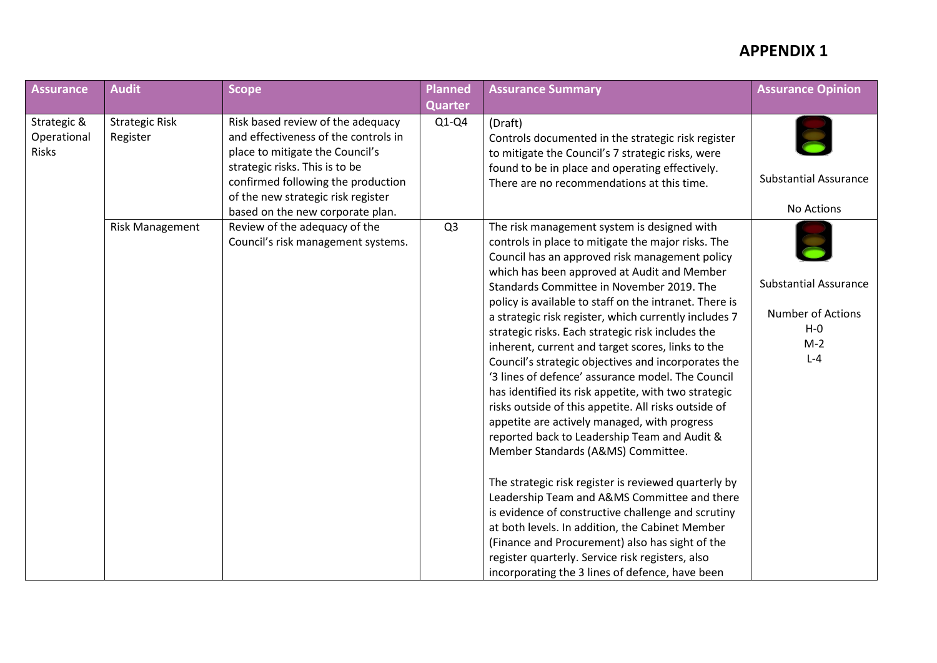| Assurance                                  | <b>Audit</b>                      | <b>Scope</b>                                                                                                                                                                                                                                                   | Planned        | <b>Assurance Summary</b>                                                                                                                                                                                                                                                                                                                                                                                                                                                                                                                                                                                                                                                                                                                                                                                                                                                                                                                                                                                                                                                                                                                                                                                                  | <b>Assurance Opinion</b>                                                                |
|--------------------------------------------|-----------------------------------|----------------------------------------------------------------------------------------------------------------------------------------------------------------------------------------------------------------------------------------------------------------|----------------|---------------------------------------------------------------------------------------------------------------------------------------------------------------------------------------------------------------------------------------------------------------------------------------------------------------------------------------------------------------------------------------------------------------------------------------------------------------------------------------------------------------------------------------------------------------------------------------------------------------------------------------------------------------------------------------------------------------------------------------------------------------------------------------------------------------------------------------------------------------------------------------------------------------------------------------------------------------------------------------------------------------------------------------------------------------------------------------------------------------------------------------------------------------------------------------------------------------------------|-----------------------------------------------------------------------------------------|
|                                            |                                   |                                                                                                                                                                                                                                                                | <b>Quarter</b> |                                                                                                                                                                                                                                                                                                                                                                                                                                                                                                                                                                                                                                                                                                                                                                                                                                                                                                                                                                                                                                                                                                                                                                                                                           |                                                                                         |
| Strategic &<br>Operational<br><b>Risks</b> | <b>Strategic Risk</b><br>Register | Risk based review of the adequacy<br>and effectiveness of the controls in<br>place to mitigate the Council's<br>strategic risks. This is to be<br>confirmed following the production<br>of the new strategic risk register<br>based on the new corporate plan. | $Q1-Q4$        | (Draft)<br>Controls documented in the strategic risk register<br>to mitigate the Council's 7 strategic risks, were<br>found to be in place and operating effectively.<br>There are no recommendations at this time.                                                                                                                                                                                                                                                                                                                                                                                                                                                                                                                                                                                                                                                                                                                                                                                                                                                                                                                                                                                                       | <b>Substantial Assurance</b><br>No Actions                                              |
|                                            | <b>Risk Management</b>            | Review of the adequacy of the<br>Council's risk management systems.                                                                                                                                                                                            | Q <sub>3</sub> | The risk management system is designed with<br>controls in place to mitigate the major risks. The<br>Council has an approved risk management policy<br>which has been approved at Audit and Member<br>Standards Committee in November 2019. The<br>policy is available to staff on the intranet. There is<br>a strategic risk register, which currently includes 7<br>strategic risks. Each strategic risk includes the<br>inherent, current and target scores, links to the<br>Council's strategic objectives and incorporates the<br>'3 lines of defence' assurance model. The Council<br>has identified its risk appetite, with two strategic<br>risks outside of this appetite. All risks outside of<br>appetite are actively managed, with progress<br>reported back to Leadership Team and Audit &<br>Member Standards (A&MS) Committee.<br>The strategic risk register is reviewed quarterly by<br>Leadership Team and A&MS Committee and there<br>is evidence of constructive challenge and scrutiny<br>at both levels. In addition, the Cabinet Member<br>(Finance and Procurement) also has sight of the<br>register quarterly. Service risk registers, also<br>incorporating the 3 lines of defence, have been | <b>Substantial Assurance</b><br><b>Number of Actions</b><br>$H - O$<br>$M-2$<br>$L - 4$ |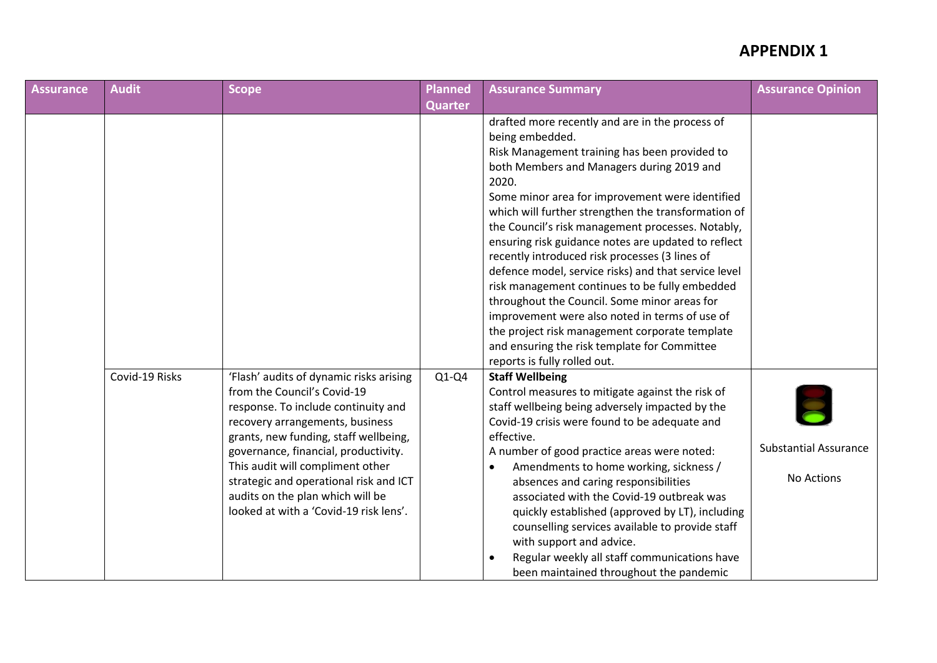| Assurance | <b>Audit</b>   | <b>Scope</b>                                                                                                                                                                                                                                                                                                                                                                                  | <b>Planned</b> | <b>Assurance Summary</b>                                                                                                                                                                                                                                                                                                                                                                                                                                                                                                                                                                                                                                                                                                                                                                        | <b>Assurance Opinion</b>                   |
|-----------|----------------|-----------------------------------------------------------------------------------------------------------------------------------------------------------------------------------------------------------------------------------------------------------------------------------------------------------------------------------------------------------------------------------------------|----------------|-------------------------------------------------------------------------------------------------------------------------------------------------------------------------------------------------------------------------------------------------------------------------------------------------------------------------------------------------------------------------------------------------------------------------------------------------------------------------------------------------------------------------------------------------------------------------------------------------------------------------------------------------------------------------------------------------------------------------------------------------------------------------------------------------|--------------------------------------------|
|           |                |                                                                                                                                                                                                                                                                                                                                                                                               | <b>Quarter</b> |                                                                                                                                                                                                                                                                                                                                                                                                                                                                                                                                                                                                                                                                                                                                                                                                 |                                            |
|           |                |                                                                                                                                                                                                                                                                                                                                                                                               |                | drafted more recently and are in the process of<br>being embedded.<br>Risk Management training has been provided to<br>both Members and Managers during 2019 and<br>2020.<br>Some minor area for improvement were identified<br>which will further strengthen the transformation of<br>the Council's risk management processes. Notably,<br>ensuring risk guidance notes are updated to reflect<br>recently introduced risk processes (3 lines of<br>defence model, service risks) and that service level<br>risk management continues to be fully embedded<br>throughout the Council. Some minor areas for<br>improvement were also noted in terms of use of<br>the project risk management corporate template<br>and ensuring the risk template for Committee<br>reports is fully rolled out. |                                            |
|           | Covid-19 Risks | 'Flash' audits of dynamic risks arising<br>from the Council's Covid-19<br>response. To include continuity and<br>recovery arrangements, business<br>grants, new funding, staff wellbeing,<br>governance, financial, productivity.<br>This audit will compliment other<br>strategic and operational risk and ICT<br>audits on the plan which will be<br>looked at with a 'Covid-19 risk lens'. | $Q1-Q4$        | <b>Staff Wellbeing</b><br>Control measures to mitigate against the risk of<br>staff wellbeing being adversely impacted by the<br>Covid-19 crisis were found to be adequate and<br>effective.<br>A number of good practice areas were noted:<br>Amendments to home working, sickness /<br>absences and caring responsibilities<br>associated with the Covid-19 outbreak was<br>quickly established (approved by LT), including<br>counselling services available to provide staff<br>with support and advice.<br>Regular weekly all staff communications have<br>been maintained throughout the pandemic                                                                                                                                                                                         | <b>Substantial Assurance</b><br>No Actions |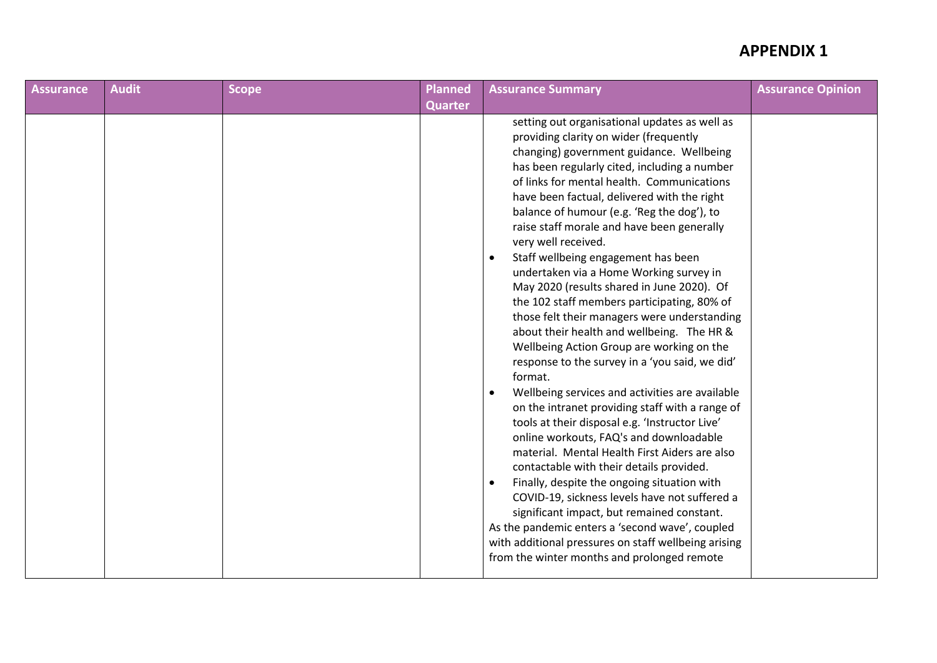| <b>Assurance</b> | <b>Audit</b> | <b>Scope</b> | <b>Planned</b> | <b>Assurance Summary</b>                                                                                                                                                                                                                                                                                                                                                                                                                                                                                                                                                                                                                                                                                                                                                                                                                                                                                                                                                                                                                                                                                                                                                                                                                                                                                                                                                                           | <b>Assurance Opinion</b> |
|------------------|--------------|--------------|----------------|----------------------------------------------------------------------------------------------------------------------------------------------------------------------------------------------------------------------------------------------------------------------------------------------------------------------------------------------------------------------------------------------------------------------------------------------------------------------------------------------------------------------------------------------------------------------------------------------------------------------------------------------------------------------------------------------------------------------------------------------------------------------------------------------------------------------------------------------------------------------------------------------------------------------------------------------------------------------------------------------------------------------------------------------------------------------------------------------------------------------------------------------------------------------------------------------------------------------------------------------------------------------------------------------------------------------------------------------------------------------------------------------------|--------------------------|
|                  |              |              | <b>Quarter</b> |                                                                                                                                                                                                                                                                                                                                                                                                                                                                                                                                                                                                                                                                                                                                                                                                                                                                                                                                                                                                                                                                                                                                                                                                                                                                                                                                                                                                    |                          |
|                  |              |              |                | setting out organisational updates as well as<br>providing clarity on wider (frequently<br>changing) government guidance. Wellbeing<br>has been regularly cited, including a number<br>of links for mental health. Communications<br>have been factual, delivered with the right<br>balance of humour (e.g. 'Reg the dog'), to<br>raise staff morale and have been generally<br>very well received.<br>Staff wellbeing engagement has been<br>undertaken via a Home Working survey in<br>May 2020 (results shared in June 2020). Of<br>the 102 staff members participating, 80% of<br>those felt their managers were understanding<br>about their health and wellbeing. The HR &<br>Wellbeing Action Group are working on the<br>response to the survey in a 'you said, we did'<br>format.<br>Wellbeing services and activities are available<br>on the intranet providing staff with a range of<br>tools at their disposal e.g. 'Instructor Live'<br>online workouts, FAQ's and downloadable<br>material. Mental Health First Aiders are also<br>contactable with their details provided.<br>Finally, despite the ongoing situation with<br>COVID-19, sickness levels have not suffered a<br>significant impact, but remained constant.<br>As the pandemic enters a 'second wave', coupled<br>with additional pressures on staff wellbeing arising<br>from the winter months and prolonged remote |                          |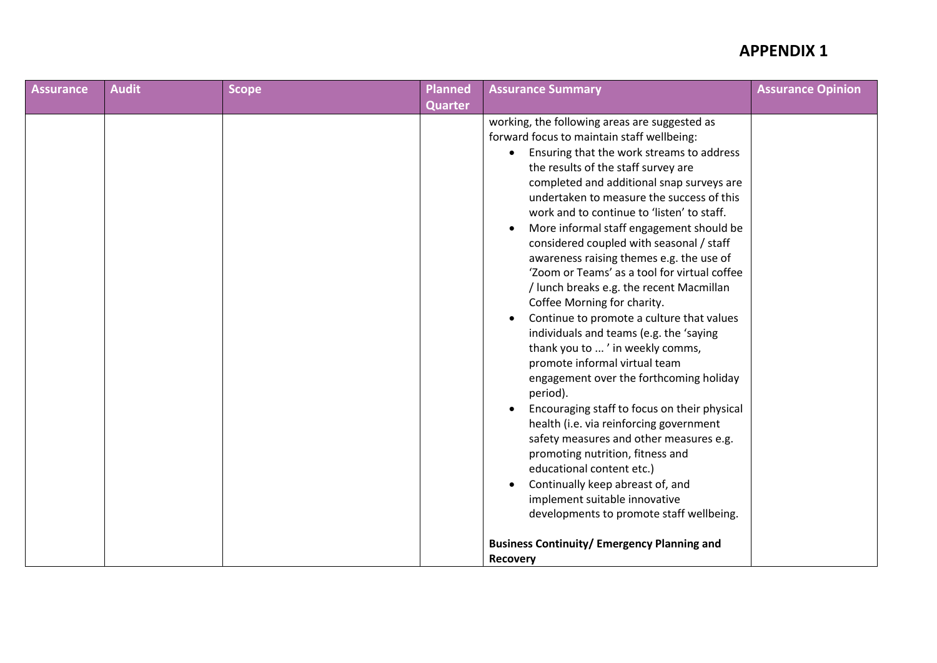| <b>Assurance</b> | <b>Audit</b> | <b>Scope</b> | Planned        | <b>Assurance Summary</b>                                                                                                                                                                                                                                                                                                                                                                                                                                                                                                                                                                                                                                                                                                                                                                                                                                                                                                                                                                                                                                                                                                                                                              | <b>Assurance Opinion</b> |
|------------------|--------------|--------------|----------------|---------------------------------------------------------------------------------------------------------------------------------------------------------------------------------------------------------------------------------------------------------------------------------------------------------------------------------------------------------------------------------------------------------------------------------------------------------------------------------------------------------------------------------------------------------------------------------------------------------------------------------------------------------------------------------------------------------------------------------------------------------------------------------------------------------------------------------------------------------------------------------------------------------------------------------------------------------------------------------------------------------------------------------------------------------------------------------------------------------------------------------------------------------------------------------------|--------------------------|
|                  |              |              | <b>Quarter</b> |                                                                                                                                                                                                                                                                                                                                                                                                                                                                                                                                                                                                                                                                                                                                                                                                                                                                                                                                                                                                                                                                                                                                                                                       |                          |
|                  |              |              |                | working, the following areas are suggested as<br>forward focus to maintain staff wellbeing:<br>Ensuring that the work streams to address<br>$\bullet$<br>the results of the staff survey are<br>completed and additional snap surveys are<br>undertaken to measure the success of this<br>work and to continue to 'listen' to staff.<br>More informal staff engagement should be<br>$\bullet$<br>considered coupled with seasonal / staff<br>awareness raising themes e.g. the use of<br>'Zoom or Teams' as a tool for virtual coffee<br>/ lunch breaks e.g. the recent Macmillan<br>Coffee Morning for charity.<br>Continue to promote a culture that values<br>$\bullet$<br>individuals and teams (e.g. the 'saying<br>thank you to ' in weekly comms,<br>promote informal virtual team<br>engagement over the forthcoming holiday<br>period).<br>Encouraging staff to focus on their physical<br>$\bullet$<br>health (i.e. via reinforcing government<br>safety measures and other measures e.g.<br>promoting nutrition, fitness and<br>educational content etc.)<br>Continually keep abreast of, and<br>implement suitable innovative<br>developments to promote staff wellbeing. |                          |
|                  |              |              |                | <b>Business Continuity/ Emergency Planning and</b>                                                                                                                                                                                                                                                                                                                                                                                                                                                                                                                                                                                                                                                                                                                                                                                                                                                                                                                                                                                                                                                                                                                                    |                          |
|                  |              |              |                | <b>Recovery</b>                                                                                                                                                                                                                                                                                                                                                                                                                                                                                                                                                                                                                                                                                                                                                                                                                                                                                                                                                                                                                                                                                                                                                                       |                          |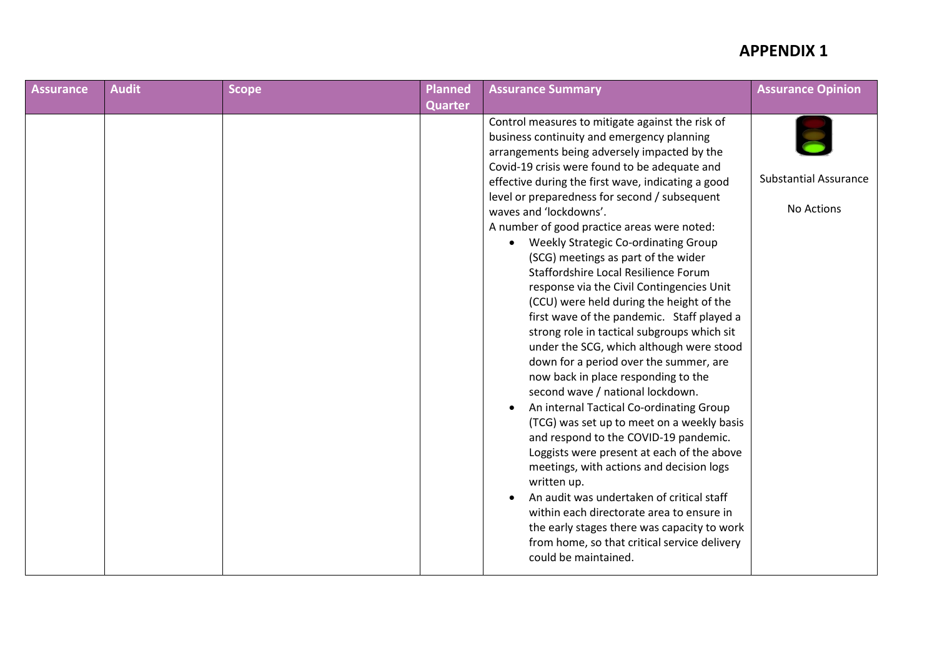| <b>Assurance</b> | <b>Audit</b> | <b>Scope</b> | Planned        | <b>Assurance Summary</b>                                                                                                                                                                                                                                                                                                                                                                                                                                                                                                                                                                                                                                                                                                                                                                                                                                                                                                                                                                                                                                                                                                                                                                                                                                                                                                                                          | <b>Assurance Opinion</b>                   |
|------------------|--------------|--------------|----------------|-------------------------------------------------------------------------------------------------------------------------------------------------------------------------------------------------------------------------------------------------------------------------------------------------------------------------------------------------------------------------------------------------------------------------------------------------------------------------------------------------------------------------------------------------------------------------------------------------------------------------------------------------------------------------------------------------------------------------------------------------------------------------------------------------------------------------------------------------------------------------------------------------------------------------------------------------------------------------------------------------------------------------------------------------------------------------------------------------------------------------------------------------------------------------------------------------------------------------------------------------------------------------------------------------------------------------------------------------------------------|--------------------------------------------|
|                  |              |              | <b>Quarter</b> |                                                                                                                                                                                                                                                                                                                                                                                                                                                                                                                                                                                                                                                                                                                                                                                                                                                                                                                                                                                                                                                                                                                                                                                                                                                                                                                                                                   |                                            |
|                  |              |              |                | Control measures to mitigate against the risk of<br>business continuity and emergency planning<br>arrangements being adversely impacted by the<br>Covid-19 crisis were found to be adequate and<br>effective during the first wave, indicating a good<br>level or preparedness for second / subsequent<br>waves and 'lockdowns'.<br>A number of good practice areas were noted:<br>Weekly Strategic Co-ordinating Group<br>$\bullet$<br>(SCG) meetings as part of the wider<br>Staffordshire Local Resilience Forum<br>response via the Civil Contingencies Unit<br>(CCU) were held during the height of the<br>first wave of the pandemic. Staff played a<br>strong role in tactical subgroups which sit<br>under the SCG, which although were stood<br>down for a period over the summer, are<br>now back in place responding to the<br>second wave / national lockdown.<br>An internal Tactical Co-ordinating Group<br>$\bullet$<br>(TCG) was set up to meet on a weekly basis<br>and respond to the COVID-19 pandemic.<br>Loggists were present at each of the above<br>meetings, with actions and decision logs<br>written up.<br>An audit was undertaken of critical staff<br>$\bullet$<br>within each directorate area to ensure in<br>the early stages there was capacity to work<br>from home, so that critical service delivery<br>could be maintained. | <b>Substantial Assurance</b><br>No Actions |
|                  |              |              |                |                                                                                                                                                                                                                                                                                                                                                                                                                                                                                                                                                                                                                                                                                                                                                                                                                                                                                                                                                                                                                                                                                                                                                                                                                                                                                                                                                                   |                                            |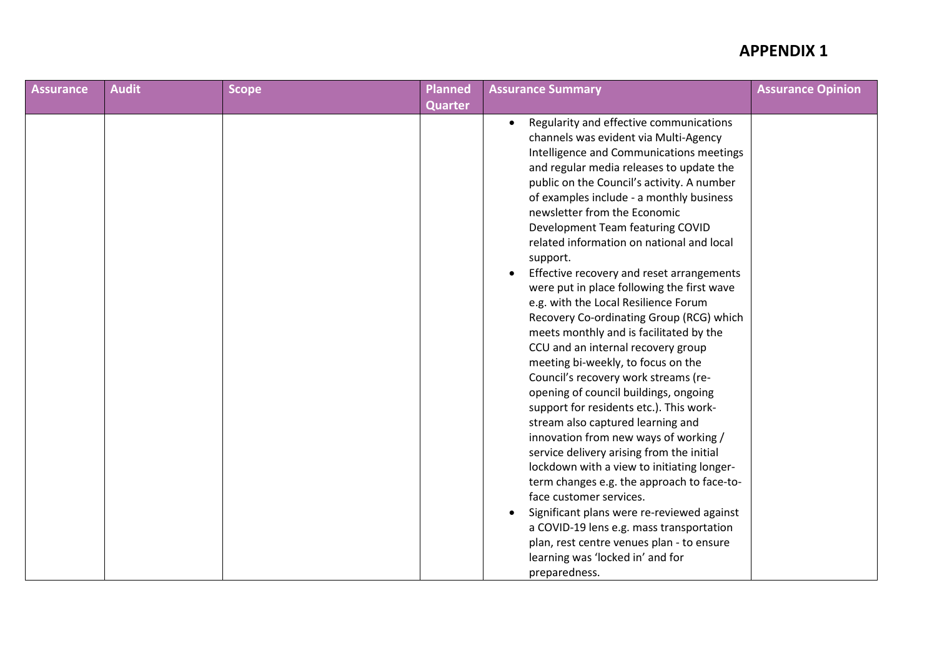| <b>Assurance</b> | <b>Audit</b> | <b>Scope</b> | <b>Planned</b> | <b>Assurance Summary</b>                                                                                                                                                                                                                                                                                                                                                                                                                                                                                                                                                                                                                                                                                                                                                                                                                                                                                                                                                                                                                                                                                                                                                                                                                                                                                               | <b>Assurance Opinion</b> |
|------------------|--------------|--------------|----------------|------------------------------------------------------------------------------------------------------------------------------------------------------------------------------------------------------------------------------------------------------------------------------------------------------------------------------------------------------------------------------------------------------------------------------------------------------------------------------------------------------------------------------------------------------------------------------------------------------------------------------------------------------------------------------------------------------------------------------------------------------------------------------------------------------------------------------------------------------------------------------------------------------------------------------------------------------------------------------------------------------------------------------------------------------------------------------------------------------------------------------------------------------------------------------------------------------------------------------------------------------------------------------------------------------------------------|--------------------------|
|                  |              |              | <b>Quarter</b> |                                                                                                                                                                                                                                                                                                                                                                                                                                                                                                                                                                                                                                                                                                                                                                                                                                                                                                                                                                                                                                                                                                                                                                                                                                                                                                                        |                          |
|                  |              |              |                | Regularity and effective communications<br>$\bullet$<br>channels was evident via Multi-Agency<br>Intelligence and Communications meetings<br>and regular media releases to update the<br>public on the Council's activity. A number<br>of examples include - a monthly business<br>newsletter from the Economic<br>Development Team featuring COVID<br>related information on national and local<br>support.<br>Effective recovery and reset arrangements<br>$\bullet$<br>were put in place following the first wave<br>e.g. with the Local Resilience Forum<br>Recovery Co-ordinating Group (RCG) which<br>meets monthly and is facilitated by the<br>CCU and an internal recovery group<br>meeting bi-weekly, to focus on the<br>Council's recovery work streams (re-<br>opening of council buildings, ongoing<br>support for residents etc.). This work-<br>stream also captured learning and<br>innovation from new ways of working /<br>service delivery arising from the initial<br>lockdown with a view to initiating longer-<br>term changes e.g. the approach to face-to-<br>face customer services.<br>Significant plans were re-reviewed against<br>$\bullet$<br>a COVID-19 lens e.g. mass transportation<br>plan, rest centre venues plan - to ensure<br>learning was 'locked in' and for<br>preparedness. |                          |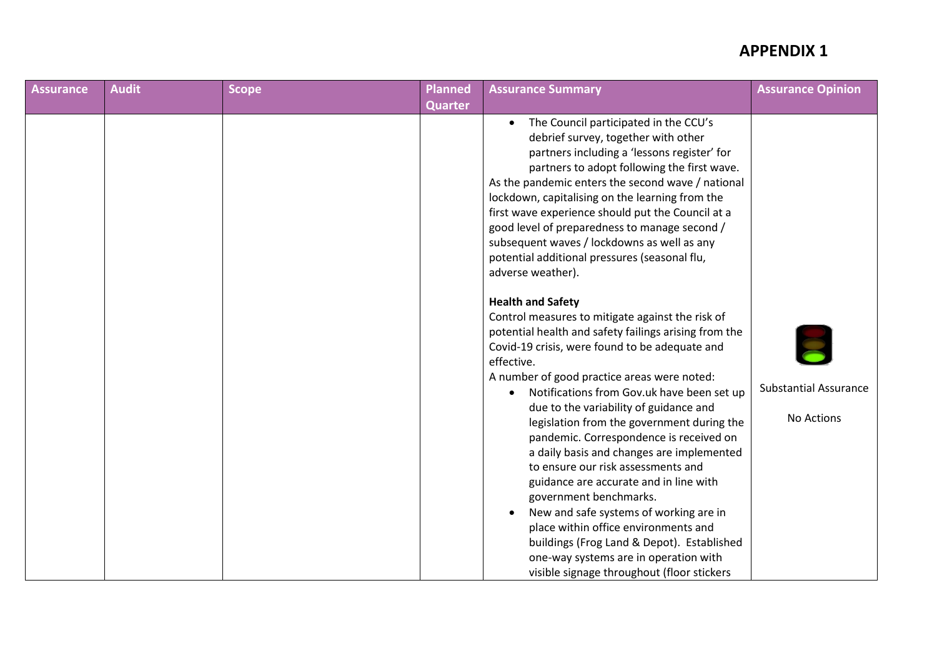| <b>Assurance</b> | <b>Audit</b> | Scope | Planned        | <b>Assurance Summary</b>                                                                                                                                                                                                                                                                                                                                                                                                                                                                                                                                                                                                                                                                                                                                                                                                                      | <b>Assurance Opinion</b>                   |
|------------------|--------------|-------|----------------|-----------------------------------------------------------------------------------------------------------------------------------------------------------------------------------------------------------------------------------------------------------------------------------------------------------------------------------------------------------------------------------------------------------------------------------------------------------------------------------------------------------------------------------------------------------------------------------------------------------------------------------------------------------------------------------------------------------------------------------------------------------------------------------------------------------------------------------------------|--------------------------------------------|
|                  |              |       | <b>Quarter</b> |                                                                                                                                                                                                                                                                                                                                                                                                                                                                                                                                                                                                                                                                                                                                                                                                                                               |                                            |
|                  |              |       |                | The Council participated in the CCU's<br>$\bullet$<br>debrief survey, together with other<br>partners including a 'lessons register' for<br>partners to adopt following the first wave.<br>As the pandemic enters the second wave / national<br>lockdown, capitalising on the learning from the<br>first wave experience should put the Council at a<br>good level of preparedness to manage second /<br>subsequent waves / lockdowns as well as any<br>potential additional pressures (seasonal flu,<br>adverse weather).                                                                                                                                                                                                                                                                                                                    |                                            |
|                  |              |       |                | <b>Health and Safety</b><br>Control measures to mitigate against the risk of<br>potential health and safety failings arising from the<br>Covid-19 crisis, were found to be adequate and<br>effective.<br>A number of good practice areas were noted:<br>Notifications from Gov.uk have been set up<br>$\bullet$<br>due to the variability of guidance and<br>legislation from the government during the<br>pandemic. Correspondence is received on<br>a daily basis and changes are implemented<br>to ensure our risk assessments and<br>guidance are accurate and in line with<br>government benchmarks.<br>New and safe systems of working are in<br>$\bullet$<br>place within office environments and<br>buildings (Frog Land & Depot). Established<br>one-way systems are in operation with<br>visible signage throughout (floor stickers | <b>Substantial Assurance</b><br>No Actions |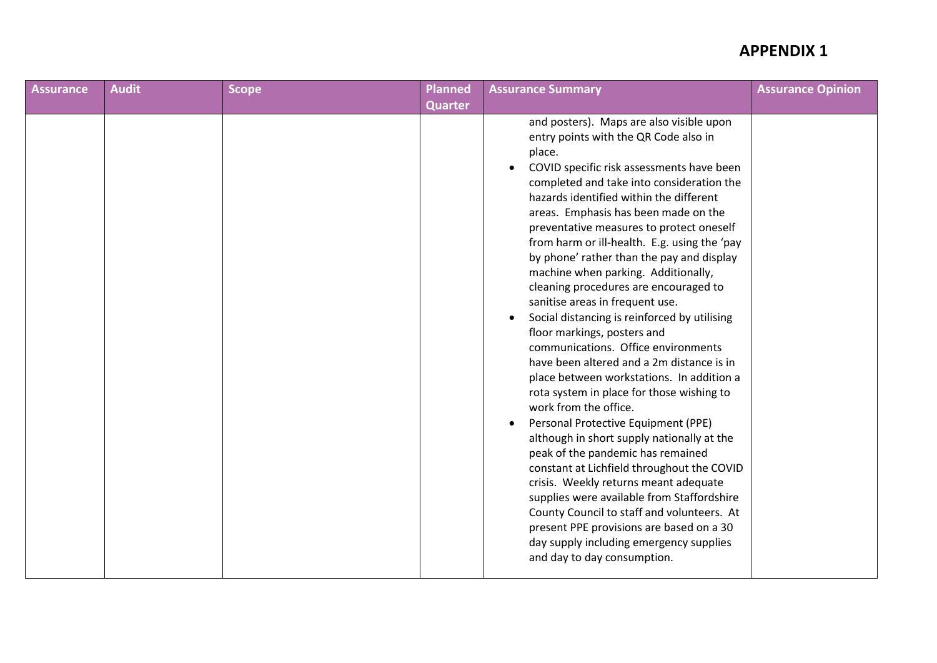| <b>Assurance</b> | <b>Audit</b> | <b>Scope</b> | <b>Planned</b> | <b>Assurance Summary</b>                                                                                                                                                                                                                                                                                                                                                                                                                                                                                                                                                                                                                                                                                                                                                                                                                                                                                                                                                                                                                                                                                                                                                                                                                                                                             | <b>Assurance Opinion</b> |
|------------------|--------------|--------------|----------------|------------------------------------------------------------------------------------------------------------------------------------------------------------------------------------------------------------------------------------------------------------------------------------------------------------------------------------------------------------------------------------------------------------------------------------------------------------------------------------------------------------------------------------------------------------------------------------------------------------------------------------------------------------------------------------------------------------------------------------------------------------------------------------------------------------------------------------------------------------------------------------------------------------------------------------------------------------------------------------------------------------------------------------------------------------------------------------------------------------------------------------------------------------------------------------------------------------------------------------------------------------------------------------------------------|--------------------------|
|                  |              |              | <b>Quarter</b> |                                                                                                                                                                                                                                                                                                                                                                                                                                                                                                                                                                                                                                                                                                                                                                                                                                                                                                                                                                                                                                                                                                                                                                                                                                                                                                      |                          |
|                  |              |              |                | and posters). Maps are also visible upon<br>entry points with the QR Code also in<br>place.<br>COVID specific risk assessments have been<br>$\bullet$<br>completed and take into consideration the<br>hazards identified within the different<br>areas. Emphasis has been made on the<br>preventative measures to protect oneself<br>from harm or ill-health. E.g. using the 'pay<br>by phone' rather than the pay and display<br>machine when parking. Additionally,<br>cleaning procedures are encouraged to<br>sanitise areas in frequent use.<br>Social distancing is reinforced by utilising<br>$\bullet$<br>floor markings, posters and<br>communications. Office environments<br>have been altered and a 2m distance is in<br>place between workstations. In addition a<br>rota system in place for those wishing to<br>work from the office.<br>Personal Protective Equipment (PPE)<br>$\bullet$<br>although in short supply nationally at the<br>peak of the pandemic has remained<br>constant at Lichfield throughout the COVID<br>crisis. Weekly returns meant adequate<br>supplies were available from Staffordshire<br>County Council to staff and volunteers. At<br>present PPE provisions are based on a 30<br>day supply including emergency supplies<br>and day to day consumption. |                          |
|                  |              |              |                |                                                                                                                                                                                                                                                                                                                                                                                                                                                                                                                                                                                                                                                                                                                                                                                                                                                                                                                                                                                                                                                                                                                                                                                                                                                                                                      |                          |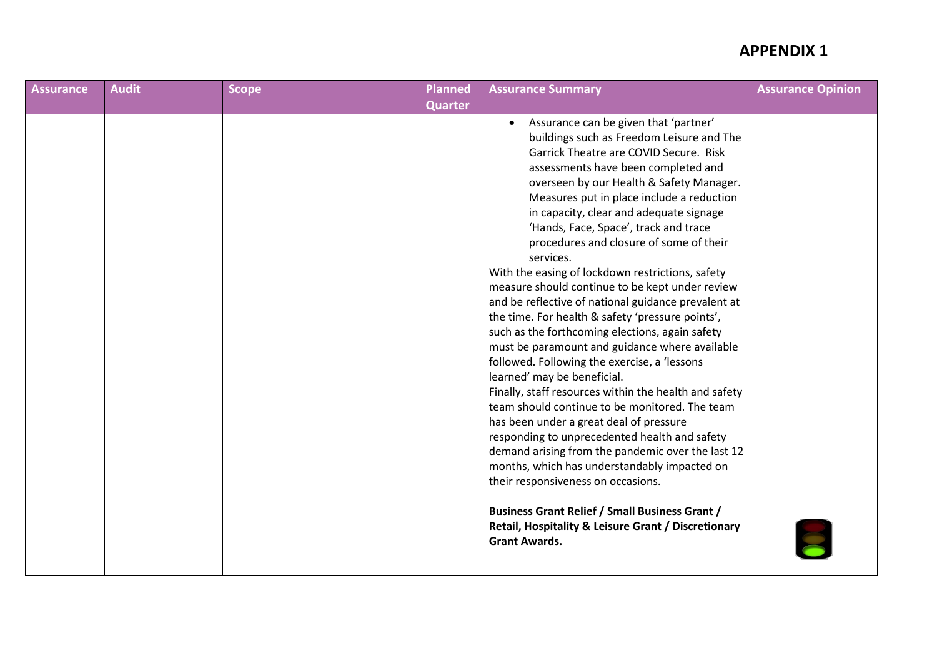| <b>Assurance</b> | <b>Audit</b> | <b>Scope</b> | <b>Planned</b> | <b>Assurance Summary</b>                                                                                                                                                                                                                                                                                                                                                                                                                                                                                                                                                                                                                                                                                                                                                                                                                                                                                                                                                                                                                                                                                                                                                                                                                                                                                 | <b>Assurance Opinion</b> |
|------------------|--------------|--------------|----------------|----------------------------------------------------------------------------------------------------------------------------------------------------------------------------------------------------------------------------------------------------------------------------------------------------------------------------------------------------------------------------------------------------------------------------------------------------------------------------------------------------------------------------------------------------------------------------------------------------------------------------------------------------------------------------------------------------------------------------------------------------------------------------------------------------------------------------------------------------------------------------------------------------------------------------------------------------------------------------------------------------------------------------------------------------------------------------------------------------------------------------------------------------------------------------------------------------------------------------------------------------------------------------------------------------------|--------------------------|
|                  |              |              | <b>Quarter</b> |                                                                                                                                                                                                                                                                                                                                                                                                                                                                                                                                                                                                                                                                                                                                                                                                                                                                                                                                                                                                                                                                                                                                                                                                                                                                                                          |                          |
|                  |              |              |                | Assurance can be given that 'partner'<br>buildings such as Freedom Leisure and The<br>Garrick Theatre are COVID Secure. Risk<br>assessments have been completed and<br>overseen by our Health & Safety Manager.<br>Measures put in place include a reduction<br>in capacity, clear and adequate signage<br>'Hands, Face, Space', track and trace<br>procedures and closure of some of their<br>services.<br>With the easing of lockdown restrictions, safety<br>measure should continue to be kept under review<br>and be reflective of national guidance prevalent at<br>the time. For health & safety 'pressure points',<br>such as the forthcoming elections, again safety<br>must be paramount and guidance where available<br>followed. Following the exercise, a 'lessons<br>learned' may be beneficial.<br>Finally, staff resources within the health and safety<br>team should continue to be monitored. The team<br>has been under a great deal of pressure<br>responding to unprecedented health and safety<br>demand arising from the pandemic over the last 12<br>months, which has understandably impacted on<br>their responsiveness on occasions.<br><b>Business Grant Relief / Small Business Grant /</b><br>Retail, Hospitality & Leisure Grant / Discretionary<br><b>Grant Awards.</b> |                          |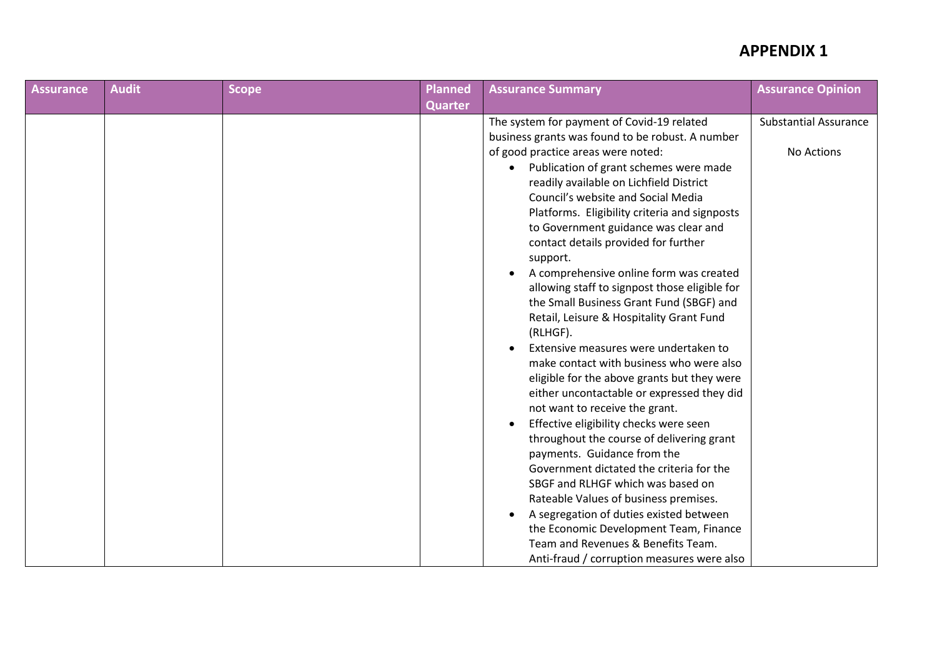| <b>Assurance</b> | <b>Audit</b> | <b>Scope</b> | <b>Planned</b> | <b>Assurance Summary</b>                                                                                                                                                                                                                                                                                                                                                                                                                                                                                                                                                                                                                                                                                                                                                                                                                                                                                      | <b>Assurance Opinion</b>     |
|------------------|--------------|--------------|----------------|---------------------------------------------------------------------------------------------------------------------------------------------------------------------------------------------------------------------------------------------------------------------------------------------------------------------------------------------------------------------------------------------------------------------------------------------------------------------------------------------------------------------------------------------------------------------------------------------------------------------------------------------------------------------------------------------------------------------------------------------------------------------------------------------------------------------------------------------------------------------------------------------------------------|------------------------------|
|                  |              |              | <b>Quarter</b> |                                                                                                                                                                                                                                                                                                                                                                                                                                                                                                                                                                                                                                                                                                                                                                                                                                                                                                               |                              |
|                  |              |              |                | The system for payment of Covid-19 related<br>business grants was found to be robust. A number                                                                                                                                                                                                                                                                                                                                                                                                                                                                                                                                                                                                                                                                                                                                                                                                                | <b>Substantial Assurance</b> |
|                  |              |              |                | of good practice areas were noted:<br>Publication of grant schemes were made<br>readily available on Lichfield District<br>Council's website and Social Media<br>Platforms. Eligibility criteria and signposts<br>to Government guidance was clear and<br>contact details provided for further<br>support.<br>A comprehensive online form was created<br>allowing staff to signpost those eligible for<br>the Small Business Grant Fund (SBGF) and<br>Retail, Leisure & Hospitality Grant Fund<br>(RLHGF).<br>Extensive measures were undertaken to<br>make contact with business who were also<br>eligible for the above grants but they were<br>either uncontactable or expressed they did<br>not want to receive the grant.<br>Effective eligibility checks were seen<br>$\bullet$<br>throughout the course of delivering grant<br>payments. Guidance from the<br>Government dictated the criteria for the | No Actions                   |
|                  |              |              |                | SBGF and RLHGF which was based on<br>Rateable Values of business premises.                                                                                                                                                                                                                                                                                                                                                                                                                                                                                                                                                                                                                                                                                                                                                                                                                                    |                              |
|                  |              |              |                | A segregation of duties existed between<br>the Economic Development Team, Finance                                                                                                                                                                                                                                                                                                                                                                                                                                                                                                                                                                                                                                                                                                                                                                                                                             |                              |
|                  |              |              |                | Team and Revenues & Benefits Team.<br>Anti-fraud / corruption measures were also                                                                                                                                                                                                                                                                                                                                                                                                                                                                                                                                                                                                                                                                                                                                                                                                                              |                              |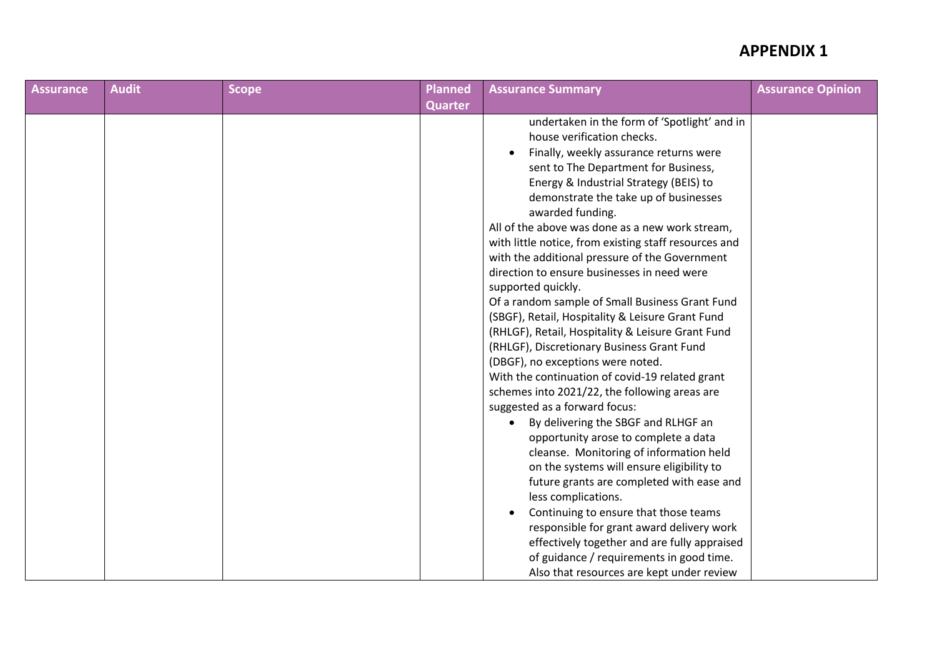| <b>Assurance</b> | <b>Audit</b> | <b>Scope</b> | <b>Planned</b> | <b>Assurance Summary</b>                                                                                                                                                                                                                                                                                                                                                                                                                                                                                                                                                                                                                                                                                                                                                                                                                                                                                                                                                                                                                                                                                                                                                                                                                                                                                                | <b>Assurance Opinion</b> |
|------------------|--------------|--------------|----------------|-------------------------------------------------------------------------------------------------------------------------------------------------------------------------------------------------------------------------------------------------------------------------------------------------------------------------------------------------------------------------------------------------------------------------------------------------------------------------------------------------------------------------------------------------------------------------------------------------------------------------------------------------------------------------------------------------------------------------------------------------------------------------------------------------------------------------------------------------------------------------------------------------------------------------------------------------------------------------------------------------------------------------------------------------------------------------------------------------------------------------------------------------------------------------------------------------------------------------------------------------------------------------------------------------------------------------|--------------------------|
|                  |              |              | <b>Quarter</b> |                                                                                                                                                                                                                                                                                                                                                                                                                                                                                                                                                                                                                                                                                                                                                                                                                                                                                                                                                                                                                                                                                                                                                                                                                                                                                                                         |                          |
|                  |              |              |                | undertaken in the form of 'Spotlight' and in<br>house verification checks.<br>Finally, weekly assurance returns were<br>sent to The Department for Business,<br>Energy & Industrial Strategy (BEIS) to<br>demonstrate the take up of businesses<br>awarded funding.<br>All of the above was done as a new work stream,<br>with little notice, from existing staff resources and<br>with the additional pressure of the Government<br>direction to ensure businesses in need were<br>supported quickly.<br>Of a random sample of Small Business Grant Fund<br>(SBGF), Retail, Hospitality & Leisure Grant Fund<br>(RHLGF), Retail, Hospitality & Leisure Grant Fund<br>(RHLGF), Discretionary Business Grant Fund<br>(DBGF), no exceptions were noted.<br>With the continuation of covid-19 related grant<br>schemes into 2021/22, the following areas are<br>suggested as a forward focus:<br>By delivering the SBGF and RLHGF an<br>opportunity arose to complete a data<br>cleanse. Monitoring of information held<br>on the systems will ensure eligibility to<br>future grants are completed with ease and<br>less complications.<br>Continuing to ensure that those teams<br>responsible for grant award delivery work<br>effectively together and are fully appraised<br>of guidance / requirements in good time. |                          |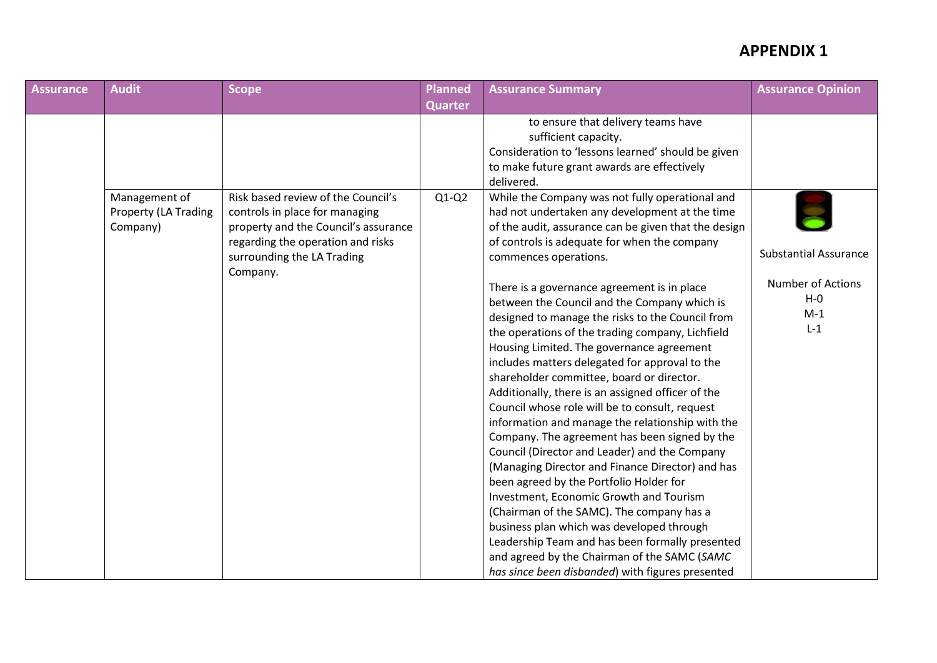| Assurance | <b>Audit</b>                                      | <b>Scope</b>                                                                                                                                      | <b>Planned</b> | <b>Assurance Summary</b>                                                                                                                                                                                                                                                                                                                                                                                                                                                                                                                                                                                                                                         | <b>Assurance Opinion</b>                              |
|-----------|---------------------------------------------------|---------------------------------------------------------------------------------------------------------------------------------------------------|----------------|------------------------------------------------------------------------------------------------------------------------------------------------------------------------------------------------------------------------------------------------------------------------------------------------------------------------------------------------------------------------------------------------------------------------------------------------------------------------------------------------------------------------------------------------------------------------------------------------------------------------------------------------------------------|-------------------------------------------------------|
|           |                                                   |                                                                                                                                                   | <b>Quarter</b> |                                                                                                                                                                                                                                                                                                                                                                                                                                                                                                                                                                                                                                                                  |                                                       |
|           |                                                   |                                                                                                                                                   |                | to ensure that delivery teams have<br>sufficient capacity.<br>Consideration to 'lessons learned' should be given<br>to make future grant awards are effectively<br>delivered.                                                                                                                                                                                                                                                                                                                                                                                                                                                                                    |                                                       |
|           | Management of<br>Property (LA Trading<br>Company) | Risk based review of the Council's<br>controls in place for managing<br>property and the Council's assurance<br>regarding the operation and risks | $Q1-Q2$        | While the Company was not fully operational and<br>had not undertaken any development at the time<br>of the audit, assurance can be given that the design<br>of controls is adequate for when the company                                                                                                                                                                                                                                                                                                                                                                                                                                                        |                                                       |
|           |                                                   | surrounding the LA Trading<br>Company.                                                                                                            |                | commences operations.                                                                                                                                                                                                                                                                                                                                                                                                                                                                                                                                                                                                                                            | <b>Substantial Assurance</b>                          |
|           |                                                   |                                                                                                                                                   |                | There is a governance agreement is in place<br>between the Council and the Company which is<br>designed to manage the risks to the Council from<br>the operations of the trading company, Lichfield<br>Housing Limited. The governance agreement<br>includes matters delegated for approval to the<br>shareholder committee, board or director.<br>Additionally, there is an assigned officer of the<br>Council whose role will be to consult, request<br>information and manage the relationship with the<br>Company. The agreement has been signed by the<br>Council (Director and Leader) and the Company<br>(Managing Director and Finance Director) and has | <b>Number of Actions</b><br>$H - O$<br>$M-1$<br>$L-1$ |
|           |                                                   |                                                                                                                                                   |                | been agreed by the Portfolio Holder for<br>Investment, Economic Growth and Tourism<br>(Chairman of the SAMC). The company has a<br>business plan which was developed through<br>Leadership Team and has been formally presented<br>and agreed by the Chairman of the SAMC (SAMC<br>has since been disbanded) with figures presented                                                                                                                                                                                                                                                                                                                              |                                                       |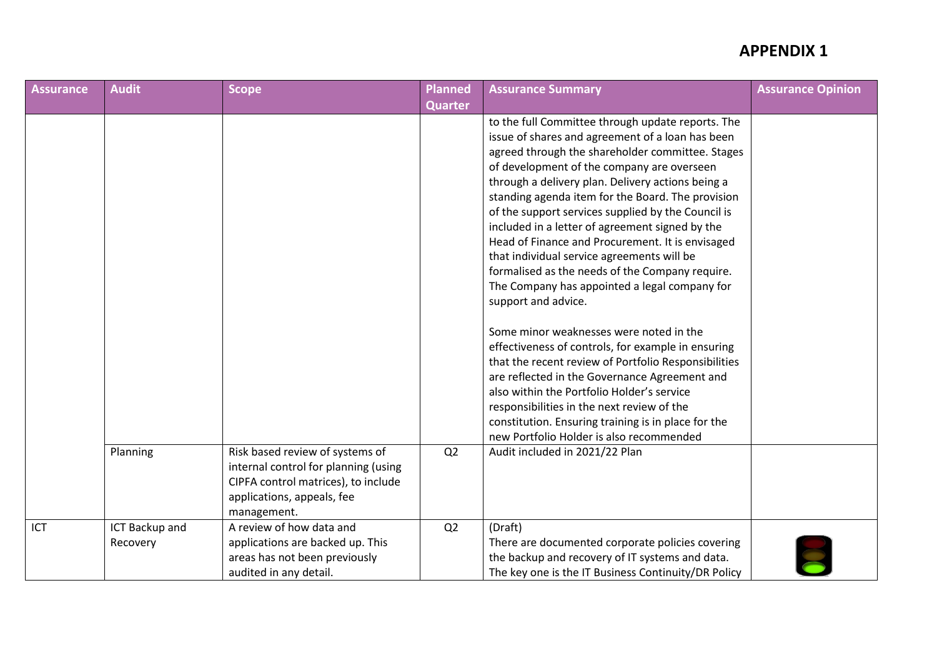| <b>Assurance</b> | <b>Audit</b>               | <b>Scope</b>                                                                                                                                                | <b>Planned</b> | <b>Assurance Summary</b>                                                                                                                                                                                                                                                                                                                                                                                                                                                                                                                                                                                                                                                                                                                                                                                                                                                                                                                                                                                                                                         | <b>Assurance Opinion</b> |
|------------------|----------------------------|-------------------------------------------------------------------------------------------------------------------------------------------------------------|----------------|------------------------------------------------------------------------------------------------------------------------------------------------------------------------------------------------------------------------------------------------------------------------------------------------------------------------------------------------------------------------------------------------------------------------------------------------------------------------------------------------------------------------------------------------------------------------------------------------------------------------------------------------------------------------------------------------------------------------------------------------------------------------------------------------------------------------------------------------------------------------------------------------------------------------------------------------------------------------------------------------------------------------------------------------------------------|--------------------------|
|                  |                            |                                                                                                                                                             | <b>Quarter</b> |                                                                                                                                                                                                                                                                                                                                                                                                                                                                                                                                                                                                                                                                                                                                                                                                                                                                                                                                                                                                                                                                  |                          |
|                  |                            |                                                                                                                                                             |                | to the full Committee through update reports. The<br>issue of shares and agreement of a loan has been<br>agreed through the shareholder committee. Stages<br>of development of the company are overseen<br>through a delivery plan. Delivery actions being a<br>standing agenda item for the Board. The provision<br>of the support services supplied by the Council is<br>included in a letter of agreement signed by the<br>Head of Finance and Procurement. It is envisaged<br>that individual service agreements will be<br>formalised as the needs of the Company require.<br>The Company has appointed a legal company for<br>support and advice.<br>Some minor weaknesses were noted in the<br>effectiveness of controls, for example in ensuring<br>that the recent review of Portfolio Responsibilities<br>are reflected in the Governance Agreement and<br>also within the Portfolio Holder's service<br>responsibilities in the next review of the<br>constitution. Ensuring training is in place for the<br>new Portfolio Holder is also recommended |                          |
|                  | Planning                   | Risk based review of systems of<br>internal control for planning (using<br>CIPFA control matrices), to include<br>applications, appeals, fee<br>management. | Q <sub>2</sub> | Audit included in 2021/22 Plan                                                                                                                                                                                                                                                                                                                                                                                                                                                                                                                                                                                                                                                                                                                                                                                                                                                                                                                                                                                                                                   |                          |
| ICT              | ICT Backup and<br>Recovery | A review of how data and<br>applications are backed up. This<br>areas has not been previously<br>audited in any detail.                                     | Q2             | (Draft)<br>There are documented corporate policies covering<br>the backup and recovery of IT systems and data.<br>The key one is the IT Business Continuity/DR Policy                                                                                                                                                                                                                                                                                                                                                                                                                                                                                                                                                                                                                                                                                                                                                                                                                                                                                            |                          |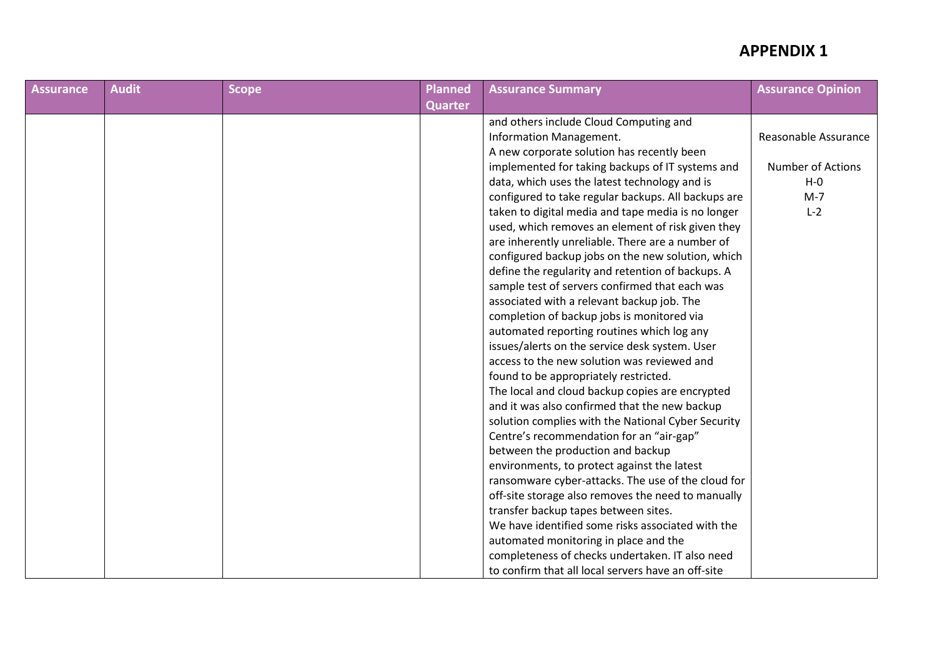| <b>Assurance</b> | <b>Audit</b> | <b>Scope</b> | <b>Planned</b> | <b>Assurance Summary</b>                            | <b>Assurance Opinion</b> |
|------------------|--------------|--------------|----------------|-----------------------------------------------------|--------------------------|
|                  |              |              | <b>Quarter</b> |                                                     |                          |
|                  |              |              |                | and others include Cloud Computing and              |                          |
|                  |              |              |                | Information Management.                             | Reasonable Assurance     |
|                  |              |              |                | A new corporate solution has recently been          |                          |
|                  |              |              |                | implemented for taking backups of IT systems and    | <b>Number of Actions</b> |
|                  |              |              |                | data, which uses the latest technology and is       | $H - O$                  |
|                  |              |              |                | configured to take regular backups. All backups are | $M-7$                    |
|                  |              |              |                | taken to digital media and tape media is no longer  | $L-2$                    |
|                  |              |              |                | used, which removes an element of risk given they   |                          |
|                  |              |              |                | are inherently unreliable. There are a number of    |                          |
|                  |              |              |                | configured backup jobs on the new solution, which   |                          |
|                  |              |              |                | define the regularity and retention of backups. A   |                          |
|                  |              |              |                | sample test of servers confirmed that each was      |                          |
|                  |              |              |                | associated with a relevant backup job. The          |                          |
|                  |              |              |                | completion of backup jobs is monitored via          |                          |
|                  |              |              |                | automated reporting routines which log any          |                          |
|                  |              |              |                | issues/alerts on the service desk system. User      |                          |
|                  |              |              |                | access to the new solution was reviewed and         |                          |
|                  |              |              |                | found to be appropriately restricted.               |                          |
|                  |              |              |                | The local and cloud backup copies are encrypted     |                          |
|                  |              |              |                | and it was also confirmed that the new backup       |                          |
|                  |              |              |                | solution complies with the National Cyber Security  |                          |
|                  |              |              |                | Centre's recommendation for an "air-gap"            |                          |
|                  |              |              |                | between the production and backup                   |                          |
|                  |              |              |                | environments, to protect against the latest         |                          |
|                  |              |              |                | ransomware cyber-attacks. The use of the cloud for  |                          |
|                  |              |              |                | off-site storage also removes the need to manually  |                          |
|                  |              |              |                | transfer backup tapes between sites.                |                          |
|                  |              |              |                | We have identified some risks associated with the   |                          |
|                  |              |              |                | automated monitoring in place and the               |                          |
|                  |              |              |                | completeness of checks undertaken. IT also need     |                          |
|                  |              |              |                | to confirm that all local servers have an off-site  |                          |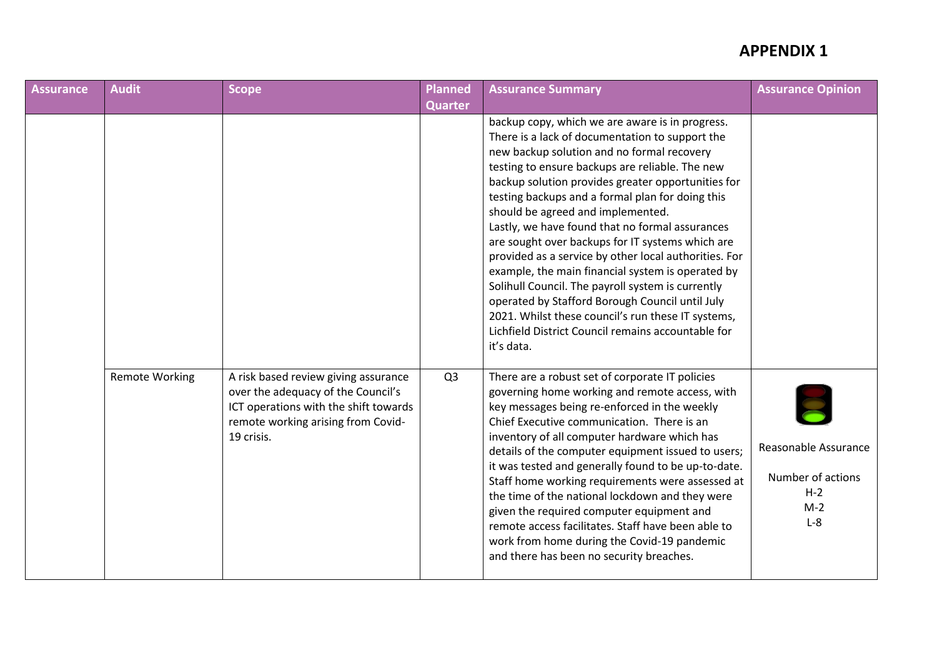| <b>Assurance</b> | <b>Audit</b>          | <b>Scope</b>                                                                                                                                                            | <b>Planned</b> | <b>Assurance Summary</b>                                                                                                                                                                                                                                                                                                                                                                                                                                                                                                                                                                                                                                                                                                                                                                                  | <b>Assurance Opinion</b>                                             |
|------------------|-----------------------|-------------------------------------------------------------------------------------------------------------------------------------------------------------------------|----------------|-----------------------------------------------------------------------------------------------------------------------------------------------------------------------------------------------------------------------------------------------------------------------------------------------------------------------------------------------------------------------------------------------------------------------------------------------------------------------------------------------------------------------------------------------------------------------------------------------------------------------------------------------------------------------------------------------------------------------------------------------------------------------------------------------------------|----------------------------------------------------------------------|
|                  |                       |                                                                                                                                                                         | <b>Quarter</b> |                                                                                                                                                                                                                                                                                                                                                                                                                                                                                                                                                                                                                                                                                                                                                                                                           |                                                                      |
|                  |                       |                                                                                                                                                                         |                | backup copy, which we are aware is in progress.<br>There is a lack of documentation to support the<br>new backup solution and no formal recovery<br>testing to ensure backups are reliable. The new<br>backup solution provides greater opportunities for<br>testing backups and a formal plan for doing this<br>should be agreed and implemented.<br>Lastly, we have found that no formal assurances<br>are sought over backups for IT systems which are<br>provided as a service by other local authorities. For<br>example, the main financial system is operated by<br>Solihull Council. The payroll system is currently<br>operated by Stafford Borough Council until July<br>2021. Whilst these council's run these IT systems,<br>Lichfield District Council remains accountable for<br>it's data. |                                                                      |
|                  | <b>Remote Working</b> | A risk based review giving assurance<br>over the adequacy of the Council's<br>ICT operations with the shift towards<br>remote working arising from Covid-<br>19 crisis. | Q <sub>3</sub> | There are a robust set of corporate IT policies<br>governing home working and remote access, with<br>key messages being re-enforced in the weekly<br>Chief Executive communication. There is an<br>inventory of all computer hardware which has<br>details of the computer equipment issued to users;<br>it was tested and generally found to be up-to-date.<br>Staff home working requirements were assessed at<br>the time of the national lockdown and they were<br>given the required computer equipment and<br>remote access facilitates. Staff have been able to<br>work from home during the Covid-19 pandemic<br>and there has been no security breaches.                                                                                                                                         | Reasonable Assurance<br>Number of actions<br>$H-2$<br>$M-2$<br>$L-8$ |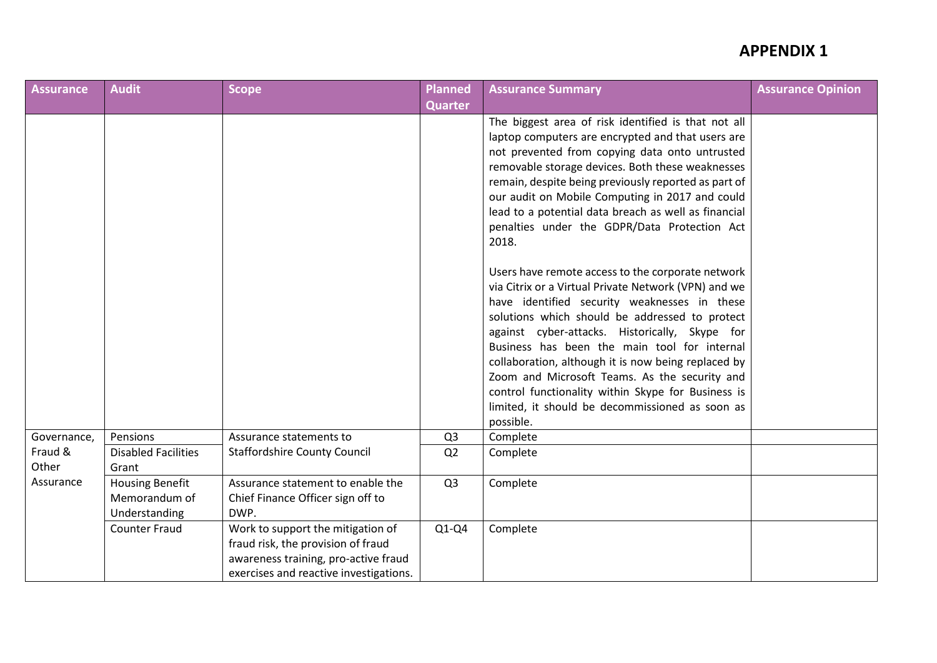| <b>Assurance</b>              | <b>Audit</b>                                             | <b>Scope</b>                                                                                                                                              | <b>Planned</b> | <b>Assurance Summary</b>                                                                                                                                                                                                                                                                                                                                                                                                                                                                                                                    | <b>Assurance Opinion</b> |
|-------------------------------|----------------------------------------------------------|-----------------------------------------------------------------------------------------------------------------------------------------------------------|----------------|---------------------------------------------------------------------------------------------------------------------------------------------------------------------------------------------------------------------------------------------------------------------------------------------------------------------------------------------------------------------------------------------------------------------------------------------------------------------------------------------------------------------------------------------|--------------------------|
|                               |                                                          |                                                                                                                                                           | <b>Quarter</b> |                                                                                                                                                                                                                                                                                                                                                                                                                                                                                                                                             |                          |
|                               |                                                          |                                                                                                                                                           |                | The biggest area of risk identified is that not all<br>laptop computers are encrypted and that users are<br>not prevented from copying data onto untrusted<br>removable storage devices. Both these weaknesses<br>remain, despite being previously reported as part of<br>our audit on Mobile Computing in 2017 and could<br>lead to a potential data breach as well as financial<br>penalties under the GDPR/Data Protection Act<br>2018.                                                                                                  |                          |
|                               |                                                          |                                                                                                                                                           |                | Users have remote access to the corporate network<br>via Citrix or a Virtual Private Network (VPN) and we<br>have identified security weaknesses in these<br>solutions which should be addressed to protect<br>against cyber-attacks. Historically, Skype for<br>Business has been the main tool for internal<br>collaboration, although it is now being replaced by<br>Zoom and Microsoft Teams. As the security and<br>control functionality within Skype for Business is<br>limited, it should be decommissioned as soon as<br>possible. |                          |
| Governance,                   | Pensions                                                 | Assurance statements to                                                                                                                                   | Q <sub>3</sub> | Complete                                                                                                                                                                                                                                                                                                                                                                                                                                                                                                                                    |                          |
| Fraud &<br>Other<br>Assurance | <b>Disabled Facilities</b><br>Grant                      | <b>Staffordshire County Council</b>                                                                                                                       | Q <sub>2</sub> | Complete                                                                                                                                                                                                                                                                                                                                                                                                                                                                                                                                    |                          |
|                               | <b>Housing Benefit</b><br>Memorandum of<br>Understanding | Assurance statement to enable the<br>Chief Finance Officer sign off to<br>DWP.                                                                            | Q <sub>3</sub> | Complete                                                                                                                                                                                                                                                                                                                                                                                                                                                                                                                                    |                          |
|                               | <b>Counter Fraud</b>                                     | Work to support the mitigation of<br>fraud risk, the provision of fraud<br>awareness training, pro-active fraud<br>exercises and reactive investigations. | $Q1-Q4$        | Complete                                                                                                                                                                                                                                                                                                                                                                                                                                                                                                                                    |                          |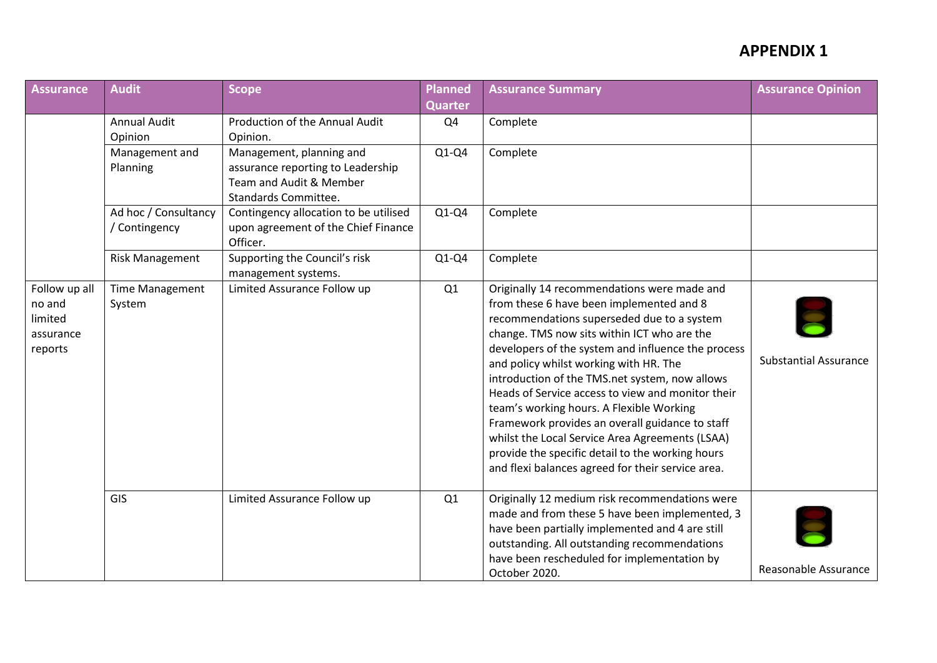| <b>Assurance</b>                                           | <b>Audit</b>                          | <b>Scope</b>                                                                                                            | Planned        | <b>Assurance Summary</b>                                                                                                                                                                                                                                                                                                                                                                                                                                                                                                                                                                                                                               | <b>Assurance Opinion</b>     |
|------------------------------------------------------------|---------------------------------------|-------------------------------------------------------------------------------------------------------------------------|----------------|--------------------------------------------------------------------------------------------------------------------------------------------------------------------------------------------------------------------------------------------------------------------------------------------------------------------------------------------------------------------------------------------------------------------------------------------------------------------------------------------------------------------------------------------------------------------------------------------------------------------------------------------------------|------------------------------|
|                                                            |                                       |                                                                                                                         | <b>Quarter</b> |                                                                                                                                                                                                                                                                                                                                                                                                                                                                                                                                                                                                                                                        |                              |
|                                                            | <b>Annual Audit</b><br>Opinion        | Production of the Annual Audit<br>Opinion.                                                                              | Q4             | Complete                                                                                                                                                                                                                                                                                                                                                                                                                                                                                                                                                                                                                                               |                              |
|                                                            | Management and<br>Planning            | Management, planning and<br>assurance reporting to Leadership<br>Team and Audit & Member<br><b>Standards Committee.</b> | $Q1-Q4$        | Complete                                                                                                                                                                                                                                                                                                                                                                                                                                                                                                                                                                                                                                               |                              |
|                                                            | Ad hoc / Consultancy<br>/ Contingency | Contingency allocation to be utilised<br>upon agreement of the Chief Finance<br>Officer.                                | $Q1-Q4$        | Complete                                                                                                                                                                                                                                                                                                                                                                                                                                                                                                                                                                                                                                               |                              |
|                                                            | <b>Risk Management</b>                | Supporting the Council's risk<br>management systems.                                                                    | $Q1-Q4$        | Complete                                                                                                                                                                                                                                                                                                                                                                                                                                                                                                                                                                                                                                               |                              |
| Follow up all<br>no and<br>limited<br>assurance<br>reports | <b>Time Management</b><br>System      | Limited Assurance Follow up                                                                                             | Q1             | Originally 14 recommendations were made and<br>from these 6 have been implemented and 8<br>recommendations superseded due to a system<br>change. TMS now sits within ICT who are the<br>developers of the system and influence the process<br>and policy whilst working with HR. The<br>introduction of the TMS.net system, now allows<br>Heads of Service access to view and monitor their<br>team's working hours. A Flexible Working<br>Framework provides an overall guidance to staff<br>whilst the Local Service Area Agreements (LSAA)<br>provide the specific detail to the working hours<br>and flexi balances agreed for their service area. | <b>Substantial Assurance</b> |
|                                                            | GIS                                   | Limited Assurance Follow up                                                                                             | Q1             | Originally 12 medium risk recommendations were<br>made and from these 5 have been implemented, 3<br>have been partially implemented and 4 are still<br>outstanding. All outstanding recommendations<br>have been rescheduled for implementation by<br>October 2020.                                                                                                                                                                                                                                                                                                                                                                                    | Reasonable Assurance         |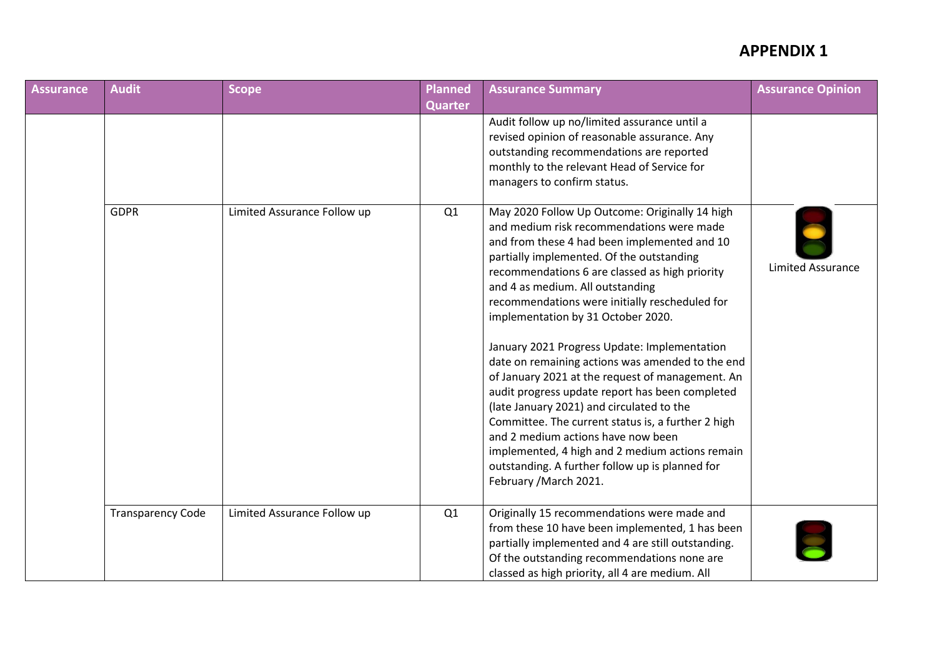| Assurance | <b>Audit</b>             | <b>Scope</b>                | Planned        | <b>Assurance Summary</b>                                                                                                                                                                                                                                                                                                                                                                                                                                                                                                                                                                                                                                                                                                                                                                                                                                   | <b>Assurance Opinion</b> |
|-----------|--------------------------|-----------------------------|----------------|------------------------------------------------------------------------------------------------------------------------------------------------------------------------------------------------------------------------------------------------------------------------------------------------------------------------------------------------------------------------------------------------------------------------------------------------------------------------------------------------------------------------------------------------------------------------------------------------------------------------------------------------------------------------------------------------------------------------------------------------------------------------------------------------------------------------------------------------------------|--------------------------|
|           |                          |                             | <b>Quarter</b> |                                                                                                                                                                                                                                                                                                                                                                                                                                                                                                                                                                                                                                                                                                                                                                                                                                                            |                          |
|           |                          |                             |                | Audit follow up no/limited assurance until a<br>revised opinion of reasonable assurance. Any<br>outstanding recommendations are reported<br>monthly to the relevant Head of Service for<br>managers to confirm status.                                                                                                                                                                                                                                                                                                                                                                                                                                                                                                                                                                                                                                     |                          |
|           | <b>GDPR</b>              | Limited Assurance Follow up | Q1             | May 2020 Follow Up Outcome: Originally 14 high<br>and medium risk recommendations were made<br>and from these 4 had been implemented and 10<br>partially implemented. Of the outstanding<br>recommendations 6 are classed as high priority<br>and 4 as medium. All outstanding<br>recommendations were initially rescheduled for<br>implementation by 31 October 2020.<br>January 2021 Progress Update: Implementation<br>date on remaining actions was amended to the end<br>of January 2021 at the request of management. An<br>audit progress update report has been completed<br>(late January 2021) and circulated to the<br>Committee. The current status is, a further 2 high<br>and 2 medium actions have now been<br>implemented, 4 high and 2 medium actions remain<br>outstanding. A further follow up is planned for<br>February / March 2021. | <b>Limited Assurance</b> |
|           | <b>Transparency Code</b> | Limited Assurance Follow up | Q1             | Originally 15 recommendations were made and<br>from these 10 have been implemented, 1 has been<br>partially implemented and 4 are still outstanding.<br>Of the outstanding recommendations none are<br>classed as high priority, all 4 are medium. All                                                                                                                                                                                                                                                                                                                                                                                                                                                                                                                                                                                                     |                          |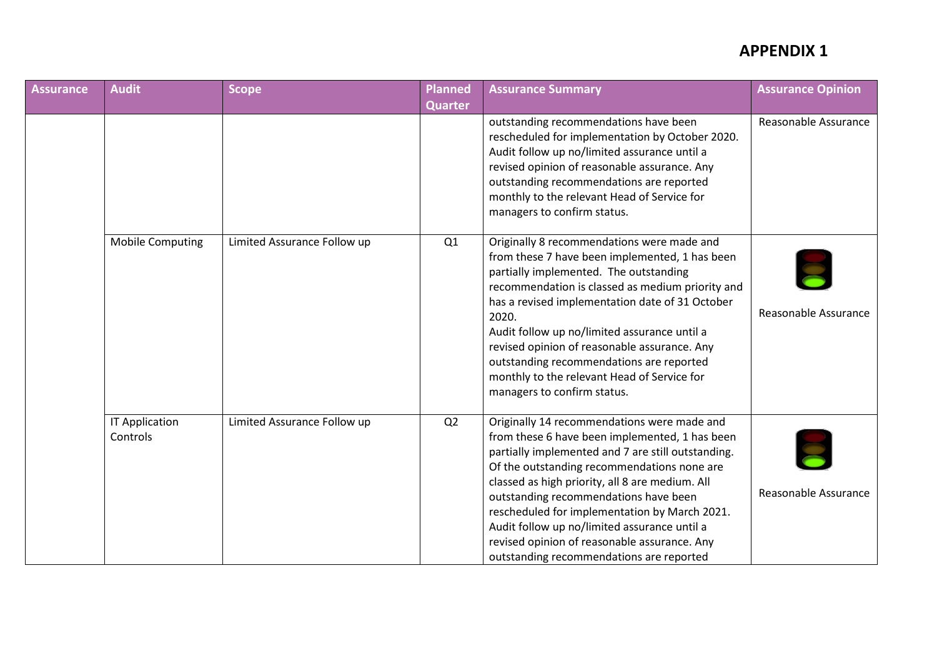| <b>Assurance</b> | <b>Audit</b>                      | <b>Scope</b>                | Planned        | <b>Assurance Summary</b>                                                                                                                                                                                                                                                                                                                                                                                                                                                                    | <b>Assurance Opinion</b> |
|------------------|-----------------------------------|-----------------------------|----------------|---------------------------------------------------------------------------------------------------------------------------------------------------------------------------------------------------------------------------------------------------------------------------------------------------------------------------------------------------------------------------------------------------------------------------------------------------------------------------------------------|--------------------------|
|                  |                                   |                             | <b>Quarter</b> |                                                                                                                                                                                                                                                                                                                                                                                                                                                                                             |                          |
|                  |                                   |                             |                | outstanding recommendations have been<br>rescheduled for implementation by October 2020.<br>Audit follow up no/limited assurance until a<br>revised opinion of reasonable assurance. Any<br>outstanding recommendations are reported<br>monthly to the relevant Head of Service for<br>managers to confirm status.                                                                                                                                                                          | Reasonable Assurance     |
|                  | <b>Mobile Computing</b>           | Limited Assurance Follow up | Q1             | Originally 8 recommendations were made and<br>from these 7 have been implemented, 1 has been<br>partially implemented. The outstanding<br>recommendation is classed as medium priority and<br>has a revised implementation date of 31 October<br>2020.<br>Audit follow up no/limited assurance until a<br>revised opinion of reasonable assurance. Any<br>outstanding recommendations are reported<br>monthly to the relevant Head of Service for<br>managers to confirm status.            | Reasonable Assurance     |
|                  | <b>IT Application</b><br>Controls | Limited Assurance Follow up | Q2             | Originally 14 recommendations were made and<br>from these 6 have been implemented, 1 has been<br>partially implemented and 7 are still outstanding.<br>Of the outstanding recommendations none are<br>classed as high priority, all 8 are medium. All<br>outstanding recommendations have been<br>rescheduled for implementation by March 2021.<br>Audit follow up no/limited assurance until a<br>revised opinion of reasonable assurance. Any<br>outstanding recommendations are reported | Reasonable Assurance     |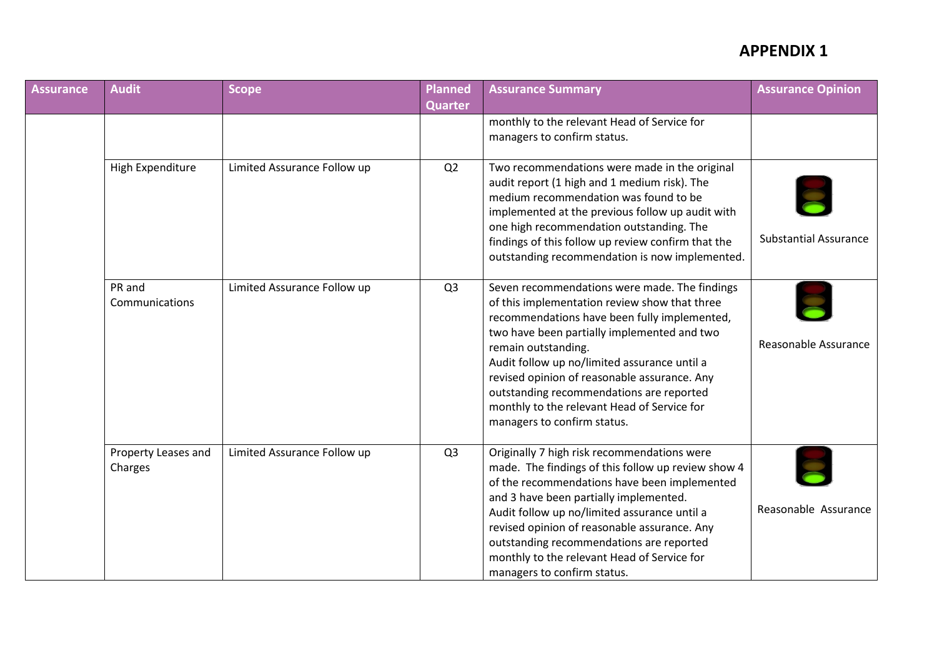| <b>Assurance</b> | <b>Audit</b>                   | <b>Scope</b>                | Planned        | <b>Assurance Summary</b>                                                                                                                                                                                                                                                                                                                                                                                                                       | <b>Assurance Opinion</b>     |
|------------------|--------------------------------|-----------------------------|----------------|------------------------------------------------------------------------------------------------------------------------------------------------------------------------------------------------------------------------------------------------------------------------------------------------------------------------------------------------------------------------------------------------------------------------------------------------|------------------------------|
|                  |                                |                             | <b>Quarter</b> |                                                                                                                                                                                                                                                                                                                                                                                                                                                |                              |
|                  |                                |                             |                | monthly to the relevant Head of Service for<br>managers to confirm status.                                                                                                                                                                                                                                                                                                                                                                     |                              |
|                  | High Expenditure               | Limited Assurance Follow up | Q2             | Two recommendations were made in the original<br>audit report (1 high and 1 medium risk). The<br>medium recommendation was found to be<br>implemented at the previous follow up audit with<br>one high recommendation outstanding. The<br>findings of this follow up review confirm that the<br>outstanding recommendation is now implemented.                                                                                                 | <b>Substantial Assurance</b> |
|                  | PR and<br>Communications       | Limited Assurance Follow up | Q <sub>3</sub> | Seven recommendations were made. The findings<br>of this implementation review show that three<br>recommendations have been fully implemented,<br>two have been partially implemented and two<br>remain outstanding.<br>Audit follow up no/limited assurance until a<br>revised opinion of reasonable assurance. Any<br>outstanding recommendations are reported<br>monthly to the relevant Head of Service for<br>managers to confirm status. | Reasonable Assurance         |
|                  | Property Leases and<br>Charges | Limited Assurance Follow up | Q <sub>3</sub> | Originally 7 high risk recommendations were<br>made. The findings of this follow up review show 4<br>of the recommendations have been implemented<br>and 3 have been partially implemented.<br>Audit follow up no/limited assurance until a<br>revised opinion of reasonable assurance. Any<br>outstanding recommendations are reported<br>monthly to the relevant Head of Service for<br>managers to confirm status.                          | Reasonable Assurance         |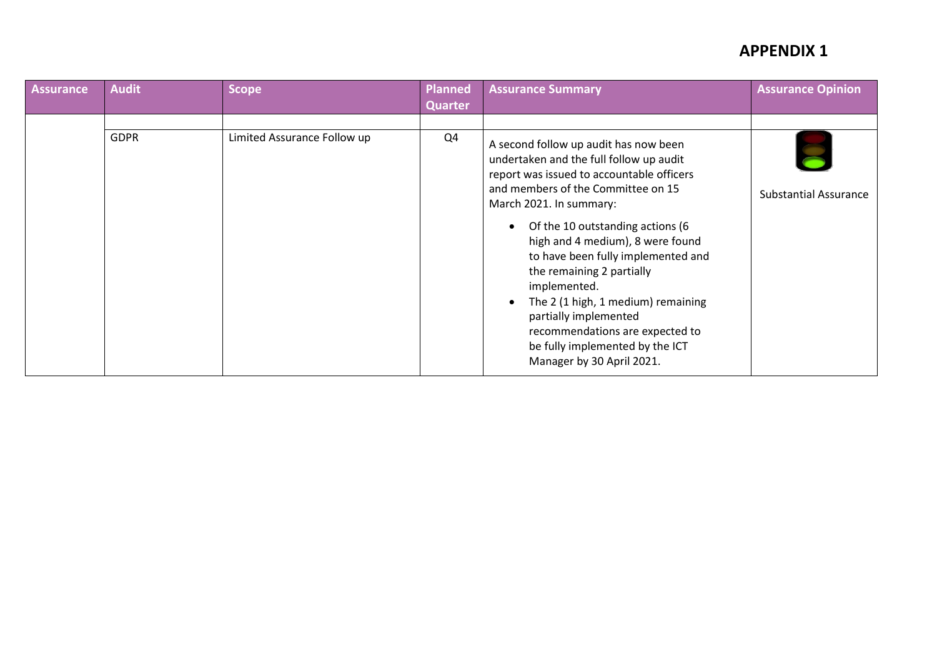| <b>Assurance</b> | <b>Audit</b> | <b>Scope</b>                | <b>Planned</b><br>Quarter | <b>Assurance Summary</b>                                                                                                                                                                                                                                                                                                                                                                                                                                                                                                                 | <b>Assurance Opinion</b>     |
|------------------|--------------|-----------------------------|---------------------------|------------------------------------------------------------------------------------------------------------------------------------------------------------------------------------------------------------------------------------------------------------------------------------------------------------------------------------------------------------------------------------------------------------------------------------------------------------------------------------------------------------------------------------------|------------------------------|
|                  | <b>GDPR</b>  | Limited Assurance Follow up | Q4                        | A second follow up audit has now been<br>undertaken and the full follow up audit<br>report was issued to accountable officers<br>and members of the Committee on 15<br>March 2021. In summary:<br>Of the 10 outstanding actions (6<br>high and 4 medium), 8 were found<br>to have been fully implemented and<br>the remaining 2 partially<br>implemented.<br>The 2 (1 high, 1 medium) remaining<br>$\bullet$<br>partially implemented<br>recommendations are expected to<br>be fully implemented by the ICT<br>Manager by 30 April 2021. | <b>Substantial Assurance</b> |